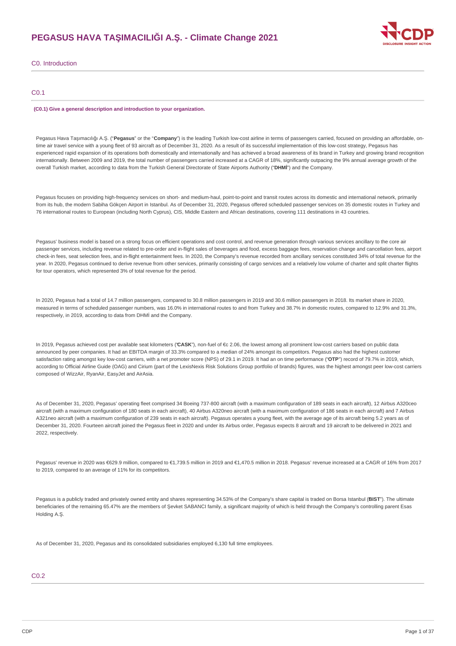## **PEGASUS HAVA TAŞIMACILIĞI A.Ş. - Climate Change 2021**



C0. Introduction

## C0.1

#### **(C0.1) Give a general description and introduction to your organization.**

Pegasus Hava Taşımacılığı A.Ş. ("**Pegasus**" or the "**Company**") is the leading Turkish low-cost airline in terms of passengers carried, focused on providing an affordable, ontime air travel service with a young fleet of 93 aircraft as of December 31, 2020. As a result of its successful implementation of this low-cost strategy, Pegasus has experienced rapid expansion of its operations both domestically and internationally and has achieved a broad awareness of its brand in Turkey and growing brand recognition internationally. Between 2009 and 2019, the total number of passengers carried increased at a CAGR of 18%, significantly outpacing the 9% annual average growth of the overall Turkish market, according to data from the Turkish General Directorate of State Airports Authority ("**DHMİ**") and the Company.

Pegasus focuses on providing high-frequency services on short- and medium-haul, point-to-point and transit routes across its domestic and international network, primarily from its hub, the modern Sabiha Gökçen Airport in Istanbul. As of December 31, 2020, Pegasus offered scheduled passenger services on 35 domestic routes in Turkey and 76 international routes to European (including North Cyprus), CIS, Middle Eastern and African destinations, covering 111 destinations in 43 countries.

Pegasus' business model is based on a strong focus on efficient operations and cost control, and revenue generation through various services ancillary to the core air passenger services, including revenue related to pre-order and in-flight sales of beverages and food, excess baggage fees, reservation change and cancellation fees, airport check-in fees, seat selection fees, and in-flight entertainment fees. In 2020, the Company's revenue recorded from ancillary services constituted 34% of total revenue for the year. In 2020, Pegasus continued to derive revenue from other services, primarily consisting of cargo services and a relatively low volume of charter and split charter flights for tour operators, which represented 3% of total revenue for the period.

In 2020, Pegasus had a total of 14.7 million passengers, compared to 30.8 million passengers in 2019 and 30.6 million passengers in 2018. Its market share in 2020, measured in terms of scheduled passenger numbers, was 16.0% in international routes to and from Turkey and 38.7% in domestic routes, compared to 12.9% and 31.3%, respectively, in 2019, according to data from DHMİ and the Company.

In 2019, Pegasus achieved cost per available seat kilometers ("**CASK**"), non-fuel of €c 2.06, the lowest among all prominent low-cost carriers based on public data announced by peer companies. It had an EBITDA margin of 33.3% compared to a median of 24% amongst its competitors. Pegasus also had the highest customer satisfaction rating amongst key low-cost carriers, with a net promoter score (NPS) of 29.1 in 2019. It had an on time performance ("**OTP**") record of 79.7% in 2019, which, according to Official Airline Guide (OAG) and Cirium (part of the LexisNexis Risk Solutions Group portfolio of brands) figures, was the highest amongst peer low-cost carriers composed of WizzAir, RyanAir, EasyJet and AirAsia.

As of December 31, 2020, Pegasus' operating fleet comprised 34 Boeing 737-800 aircraft (with a maximum configuration of 189 seats in each aircraft), 12 Airbus A320ceo aircraft (with a maximum configuration of 180 seats in each aircraft), 40 Airbus A320neo aircraft (with a maximum configuration of 186 seats in each aircraft) and 7 Airbus A321neo aircraft (with a maximum configuration of 239 seats in each aircraft). Pegasus operates a young fleet, with the average age of its aircraft being 5.2 years as of December 31, 2020. Fourteen aircraft joined the Pegasus fleet in 2020 and under its Airbus order, Pegasus expects 8 aircraft and 19 aircraft to be delivered in 2021 and 2022, respectively.

Pegasus' revenue in 2020 was €629.9 million, compared to €1,739.5 million in 2019 and €1,470.5 million in 2018. Pegasus' revenue increased at a CAGR of 16% from 2017 to 2019, compared to an average of 11% for its competitors.

Pegasus is a publicly traded and privately owned entity and shares representing 34.53% of the Company's share capital is traded on Borsa Istanbul ("**BIST**"). The ultimate beneficiaries of the remaining 65.47% are the members of Şevket SABANCI family, a significant majority of which is held through the Company's controlling parent Esas Holding A.Ş.

As of December 31, 2020, Pegasus and its consolidated subsidiaries employed 6,130 full time employees.

## C0.2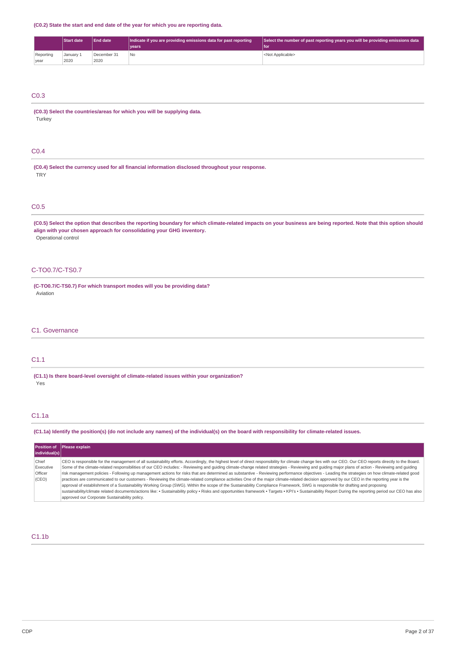**(C0.2) State the start and end date of the year for which you are reporting data.**

|           | Start date | <b>End date</b> | Indicate if you are providing emissions data for past reporting | Select the number of past reporting years you will be providing emissions data |  |
|-----------|------------|-----------------|-----------------------------------------------------------------|--------------------------------------------------------------------------------|--|
|           |            |                 | vears <sup>1</sup>                                              | l for                                                                          |  |
| Reporting | Januarv 1  | December 31     | No                                                              | <not applicable=""></not>                                                      |  |
| year      | 2020       | 2020            |                                                                 |                                                                                |  |

## C0.3

**(C0.3) Select the countries/areas for which you will be supplying data.** Turkey

## C0.4

**(C0.4) Select the currency used for all financial information disclosed throughout your response. TRY** 

## C0.5

(C0.5) Select the option that describes the reporting boundary for which climate-related impacts on your business are being reported. Note that this option should **align with your chosen approach for consolidating your GHG inventory.** Operational control

## C-TO0.7/C-TS0.7

**(C-TO0.7/C-TS0.7) For which transport modes will you be providing data?** Aviation

## C1. Governance

## C1.1

**(C1.1) Is there board-level oversight of climate-related issues within your organization?** Yes

## C1.1a

(C1.1a) Identify the position(s) (do not include any names) of the individual(s) on the board with responsibility for climate-related issues.

| individual(s)                          | <b>Position of Please explain</b>                                                                                                                                                                                                                                                                                                                                                                                                                                                                                                                                                                                                                                                                                                                                                                                                                                                                                                                                                                                                                                                                                                                                                                                                                                |
|----------------------------------------|------------------------------------------------------------------------------------------------------------------------------------------------------------------------------------------------------------------------------------------------------------------------------------------------------------------------------------------------------------------------------------------------------------------------------------------------------------------------------------------------------------------------------------------------------------------------------------------------------------------------------------------------------------------------------------------------------------------------------------------------------------------------------------------------------------------------------------------------------------------------------------------------------------------------------------------------------------------------------------------------------------------------------------------------------------------------------------------------------------------------------------------------------------------------------------------------------------------------------------------------------------------|
| Chief<br>Executive<br>Officer<br>(CEO) | CEO is responsible for the management of all sustainability efforts. Accordingly, the highest level of direct responsibility for climate change lies with our CEO. Our CEO reports directly to the Board.<br>Some of the climate-related responsibilities of our CEO includes: - Reviewing and quiding climate-change related strategies - Reviewing and quiding major plans of action - Reviewing and quiding<br>risk management policies - Following up management actions for risks that are determined as substantive - Reviewing performance objectives - Leading the strategies on how climate-related good<br>practices are communicated to our customers - Reviewing the climate-related compliance activities One of the major climate-related decision approved by our CEO in the reporting year is the<br>approval of establishment of a Sustainability Working Group (SWG). Within the scope of the Sustainability Compliance Framework, SWG is responsible for drafting and proposing<br>sustainability/climate related documents/actions like: • Sustainability policy • Risks and opportunities framework • Targets • KPI's • Sustainability Report During the reporting period our CEO has also<br>approved our Corporate Sustainability policy. |

## C1.1b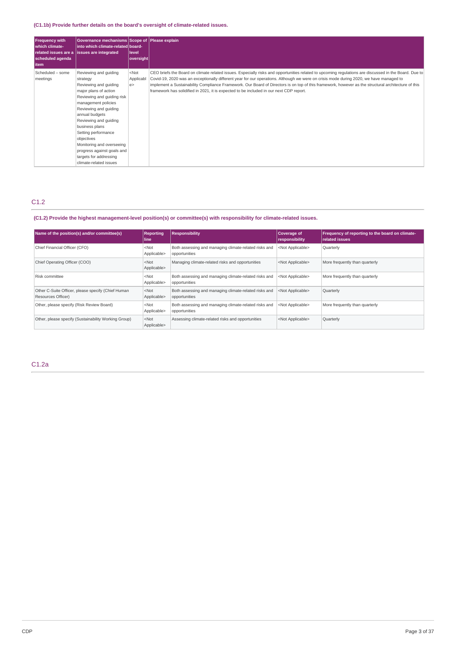## **(C1.1b) Provide further details on the board's oversight of climate-related issues.**

| <b>Frequency with</b><br>I which climate-<br>scheduled agenda<br>l item | Governance mechanisms Scope of Please explain<br>into which climate-related board-<br>related issues are a issues are integrated                                                                                                                                                                                                                                                   | level<br>oversight        |                                                                                                                                                                                                                                                                                                                                                                                                                                                                                                                                                   |
|-------------------------------------------------------------------------|------------------------------------------------------------------------------------------------------------------------------------------------------------------------------------------------------------------------------------------------------------------------------------------------------------------------------------------------------------------------------------|---------------------------|---------------------------------------------------------------------------------------------------------------------------------------------------------------------------------------------------------------------------------------------------------------------------------------------------------------------------------------------------------------------------------------------------------------------------------------------------------------------------------------------------------------------------------------------------|
| Scheduled - some<br>meetings                                            | Reviewing and quiding<br>strategy<br>Reviewing and guiding<br>major plans of action<br>Reviewing and guiding risk<br>management policies<br>Reviewing and guiding<br>annual budgets<br>Reviewing and guiding<br>business plans<br>Setting performance<br>objectives<br>Monitoring and overseeing<br>progress against goals and<br>targets for addressing<br>climate-related issues | $<$ Not<br>Applicabl<br>e | CEO briefs the Board on climate related issues. Especially risks and opportunities related to upcoming regulations are discussed in the Board. Due to<br>Covid-19, 2020 was an exceptionally different year for our operations. Although we were on crisis mode during 2020, we have managed to<br>implement a Sustainability Compliance Framework. Our Board of Directors is on top of this framework, however as the structural architecture of this<br>framework has solidified in 2021, it is expected to be included in our next CDP report. |

## C1.2

## **(C1.2) Provide the highest management-level position(s) or committee(s) with responsibility for climate-related issues.**

| Name of the position(s) and/or committee(s)                              | <b>Reporting</b><br>line | <b>Responsibility</b>                                                  | Coverage of<br>responsibility | Frequency of reporting to the board on climate-<br>related issues |
|--------------------------------------------------------------------------|--------------------------|------------------------------------------------------------------------|-------------------------------|-------------------------------------------------------------------|
| Chief Financial Officer (CFO)                                            | $<$ Not<br>Applicable>   | Both assessing and managing climate-related risks and<br>opportunities | <not applicable=""></not>     | Quarterly                                                         |
| Chief Operating Officer (COO)                                            | $<$ Not<br>Applicable>   | Managing climate-related risks and opportunities                       | <not applicable=""></not>     | More frequently than quarterly                                    |
| Risk committee                                                           | $<$ Not<br>Applicable>   | Both assessing and managing climate-related risks and<br>opportunities | <not applicable=""></not>     | More frequently than quarterly                                    |
| Other C-Suite Officer, please specify (Chief Human<br>Resources Officer) | $<$ Not<br>Applicable>   | Both assessing and managing climate-related risks and<br>opportunities | <not applicable=""></not>     | Quarterly                                                         |
| Other, please specify (Risk Review Board)                                | $<$ Not<br>Applicable>   | Both assessing and managing climate-related risks and<br>opportunities | <not applicable=""></not>     | More frequently than quarterly                                    |
| Other, please specify (Sustainability Working Group)                     | $<$ Not<br>Applicable>   | Assessing climate-related risks and opportunities                      | <not applicable=""></not>     | Quarterly                                                         |

C1.2a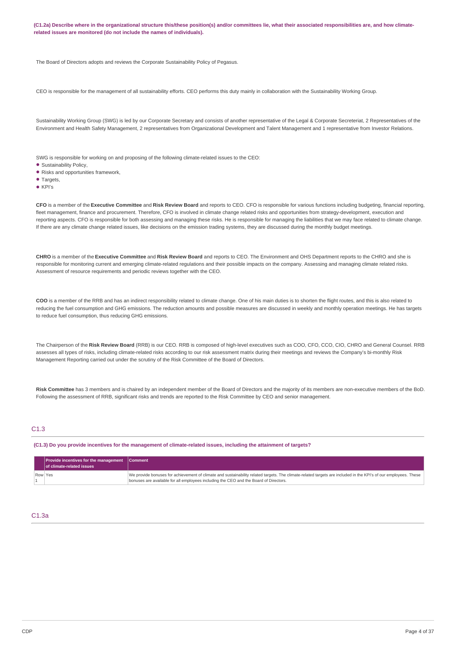(C1.2a) Describe where in the organizational structure this/these position(s) and/or committees lie, what their associated responsibilities are, and how climate**related issues are monitored (do not include the names of individuals).**

The Board of Directors adopts and reviews the Corporate Sustainability Policy of Pegasus.

CEO is responsible for the management of all sustainability efforts. CEO performs this duty mainly in collaboration with the Sustainability Working Group.

Sustainability Working Group (SWG) is led by our Corporate Secretary and consists of another representative of the Legal & Corporate Secreteriat, 2 Representatives of the Environment and Health Safety Management, 2 representatives from Organizational Development and Talent Management and 1 representative from Investor Relations.

SWG is responsible for working on and proposing of the following climate-related issues to the CEO:

- Sustainability Policy,
- Risks and opportunities framework,
- Targets,
- KPI's

**CFO** is a member of the **Executive Committee** and **Risk Review Board** and reports to CEO. CFO is responsible for various functions including budgeting, financial reporting, fleet management, finance and procurement. Therefore, CFO is involved in climate change related risks and opportunities from strategy-development, execution and reporting aspects. CFO is responsible for both assessing and managing these risks. He is responsible for managing the liabilities that we may face related to climate change. If there are any climate change related issues, like decisions on the emission trading systems, they are discussed during the monthly budget meetings.

**CHRO** is a member of the **Executive Committee** and **Risk Review Board** and reports to CEO. The Environment and OHS Department reports to the CHRO and she is responsible for monitoring current and emerging climate-related regulations and their possible impacts on the company. Assessing and managing climate related risks. Assessment of resource requirements and periodic reviews together with the CEO.

**COO** is a member of the RRB and has an indirect responsibility related to climate change. One of his main duties is to shorten the flight routes, and this is also related to reducing the fuel consumption and GHG emissions. The reduction amounts and possible measures are discussed in weekly and monthly operation meetings. He has targets to reduce fuel consumption, thus reducing GHG emissions.

The Chairperson of the **Risk Review Board** (RRB) is our CEO. RRB is composed of high-level executives such as COO, CFO, CCO, CIO, CHRO and General Counsel. RRB assesses all types of risks, including climate-related risks according to our risk assessment matrix during their meetings and reviews the Company's bi-monthly Risk Management Reporting carried out under the scrutiny of the Risk Committee of the Board of Directors.

**Risk Committee** has 3 members and is chaired by an independent member of the Board of Directors and the majority of its members are non-executive members of the BoD. Following the assessment of RRB, significant risks and trends are reported to the Risk Committee by CEO and senior management.

### C1.3

(C1.3) Do you provide incentives for the management of climate-related issues, including the attainment of targets?

|         | $ $ Provide incentives for the management $ $ Comment<br>of climate-related issues |                                                                                                                                                                                                                                                          |
|---------|------------------------------------------------------------------------------------|----------------------------------------------------------------------------------------------------------------------------------------------------------------------------------------------------------------------------------------------------------|
| Row Yes |                                                                                    | We provide bonuses for achievement of climate and sustainability related targets. The climate-related targets are included in the KPI's of our employees. These<br>bonuses are available for all employees including the CEO and the Board of Directors. |

### C1.3a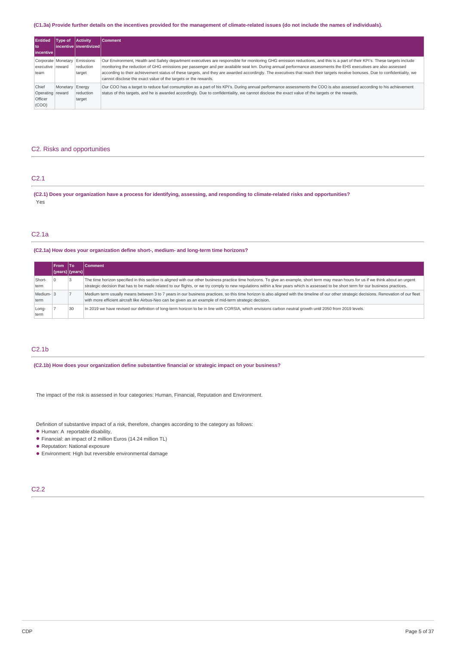### (C1.3a) Provide further details on the incentives provided for the management of climate-related issues (do not include the names of individuals).

| <b>Entitled</b><br>l to<br>  incentive        | Type of              | <b>Activity</b><br>incentive linventivized l | <b>Comment</b>                                                                                                                                                                                                                                                                                                                                                                                                                                                                                                                                                                                |
|-----------------------------------------------|----------------------|----------------------------------------------|-----------------------------------------------------------------------------------------------------------------------------------------------------------------------------------------------------------------------------------------------------------------------------------------------------------------------------------------------------------------------------------------------------------------------------------------------------------------------------------------------------------------------------------------------------------------------------------------------|
| executive reward<br>team                      | Corporate   Monetary | Emissions<br>reduction<br>target             | Our Environment, Health and Safety department executives are responsible for monitoring GHG emission reductions, and this is a part of their KPI's. These targets include<br>monitoring the reduction of GHG emissions per passenger and per available seat km. During annual performance assessments the EHS executives are also assessed<br>according to their achievement status of these targets, and they are awarded accordingly. The executives that reach their targets receive bonuses. Due to confidentiality, we<br>cannot disclose the exact value of the targets or the rewards. |
| Chief<br>Operating reward<br>Officer<br>(COO) | Monetary             | Energy<br>reduction<br>target                | Our COO has a target to reduce fuel consumption as a part of his KPI's. During annual performance assessments the COO is also assessed according to his achievement<br>status of this targets, and he is awarded accordingly. Due to confidentiality, we cannot disclose the exact value of the targets or the rewards.                                                                                                                                                                                                                                                                       |

## C2. Risks and opportunities

## C2.1

(C2.1) Does your organization have a process for identifying, assessing, and responding to climate-related risks and opportunities? Yes

## C2.1a

## **(C2.1a) How does your organization define short-, medium- and long-term time horizons?**

|                   | <b>From</b>     | lTo | <b>Comment</b>                                                                                                                                                                                                                                                                                                                                                                 |
|-------------------|-----------------|-----|--------------------------------------------------------------------------------------------------------------------------------------------------------------------------------------------------------------------------------------------------------------------------------------------------------------------------------------------------------------------------------|
|                   | (years) (years) |     |                                                                                                                                                                                                                                                                                                                                                                                |
| Short-<br>term    |                 |     | The time horizon specified in this section is aligned with our other business practice time horizons. To give an example, short term may mean hours for us if we think about an urgent<br>strategic decision that has to be made related to our flights, or we try comply to new regulations within a few years which is assessed to be short term for our business practices. |
| Medium-13<br>term |                 |     | Medium term usually means between 3 to 7 years in our business practices, so this time horizon is also aligned with the timeline of our other strategic decisions. Renovation of our fleet<br>with more efficient aircraft like Airbus-Neo can be given as an example of mid-term strategic decision.                                                                          |
| Long-<br>term     |                 | 30  | In 2019 we have revised our definition of long-term horizon to be in line with CORSIA, which envisions carbon neutral growth until 2050 from 2019 levels.                                                                                                                                                                                                                      |

## C2.1b

**(C2.1b) How does your organization define substantive financial or strategic impact on your business?**

The impact of the risk is assessed in four categories: Human, Financial, Reputation and Environment.

Definition of substantive impact of a risk, therefore, changes according to the category as follows:

- Human: A reportable disability, •
- Financial: an impact of 2 million Euros (14.24 million TL)
- Reputation: National exposure •
- Environment: High but reversible environmental damage •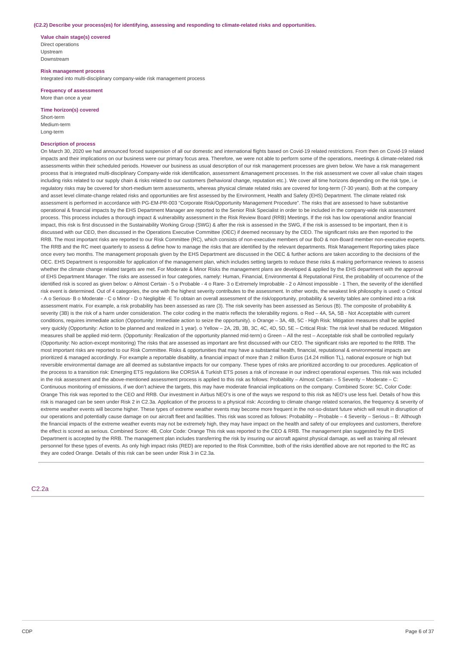#### **(C2.2) Describe your process(es) for identifying, assessing and responding to climate-related risks and opportunities.**

**Value chain stage(s) covered** Direct operations Upstream Downstream

**Risk management process** Integrated into multi-disciplinary company-wide risk management process

**Frequency of assessment** More than once a year

**Time horizon(s) covered** Short-term

Medium-term Long-term

### **Description of process**

On March 30, 2020 we had announced forced suspension of all our domestic and international flights based on Covid-19 related restrictions. From then on Covid-19 related impacts and their implications on our business were our primary focus area. Therefore, we were not able to perform some of the operations, meetings & climate-related risk assessments within their scheduled periods. However our business as usual description of our risk management processes are given below. We have a risk management process that is integrated multi-disciplinary Company-wide risk identification, assessment &management processes. In the risk assessment we cover all value chain stages including risks related to our supply chain & risks related to our customers (behavioral change, reputation etc.). We cover all time horizons depending on the risk type, i.e regulatory risks may be covered for short-medium term assessments, whereas physical climate related risks are covered for long-term (7-30 years). Both at the company and asset level climate-change related risks and opportunities are first assessed by the Environment, Health and Safety (EHS) Department. The climate related risk assessment is performed in accordance with PG-EM-PR-003 "Corporate Risk/Opportunity Management Procedure". The risks that are assessed to have substantive operational & financial impacts by the EHS Department Manager are reported to the Senior Risk Specialist in order to be included in the company-wide risk assessment process. This process includes a thorough impact & vulnerability assessment in the Risk Review Board (RRB) Meetings. If the risk has low operational and/or financial impact, this risk is first discussed in the Sustainability Working Group (SWG) & after the risk is assessed in the SWG, if the risk is assessed to be important, then it is discussed with our CEO, then discussed in the Operations Executive Committee (OEC) if deemed necessary by the CEO. The significant risks are then reported to the RRB. The most important risks are reported to our Risk Committee (RC), which consists of non-executive members of our BoD & non-Board member non-executive experts. The RRB and the RC meet quarterly to assess & define how to manage the risks that are identified by the relevant departments. Risk Management Reporting takes place once every two months. The management proposals given by the EHS Department are discussed in the OEC & further actions are taken according to the decisions of the OEC. EHS Department is responsible for application of the management plan, which includes setting targets to reduce these risks & making performance reviews to assess whether the climate change related targets are met. For Moderate & Minor Risks the management plans are developed & applied by the EHS department with the approval of EHS Department Manager. The risks are assessed in four categories, namely: Human, Financial, Environmental & Reputational First, the probability of occurrence of the identified risk is scored as given below: o Almost Certain - 5 o Probable - 4 o Rare- 3 o Extremely Improbable - 2 o Almost impossible - 1 Then, the severity of the identified risk event is determined. Out of 4 categories, the one with the highest severity contributes to the assessment. In other words, the weakest link philosophy is used: o Critical - A o Serious- B o Moderate - C o Minor - D o Negligible -E To obtain an overall assessment of the risk/opportunity, probability & severity tables are combined into a risk assessment matrix. For example, a risk probability has been assessed as rare (3). The risk severity has been assessed as Serious (B). The composite of probability & severity (3B) is the risk of a harm under consideration. The color coding in the matrix reflects the tolerability regions. o Red - 4A, 5A, 5B - Not Acceptable with current conditions, requires immediate action (Opportunity: Immediate action to seize the opportunity). o Orange – 3A, 4B, 5C - High Risk: Mitigation measures shall be applied very quickly (Opportunity: Action to be planned and realized in 1 year). o Yellow – 2A, 2B, 3B, 3C, 4C, 4D, 5D, 5E – Critical Risk: The risk level shall be reduced. Mitigation measures shall be applied mid-term. (Opportunity: Realization of the opportunity planned mid-term) o Green – All the rest – Acceptable risk shall be controlled regularly (Opportunity: No action-except monitoring) The risks that are assessed as important are first discussed with our CEO. The significant risks are reported to the RRB. The most important risks are reported to our Risk Committee. Risks & opportunities that may have a substantial health, financial, reputational & environmental impacts are prioritized & managed accordingly. For example a reportable disability, a financial impact of more than 2 million Euros (14.24 million TL), national exposure or high but reversible environmental damage are all deemed as substantive impacts for our company. These types of risks are prioritized according to our procedures. Application of the process to a transition risk: Emerging ETS regulations like CORSIA & Turkish ETS poses a risk of increase in our indirect operational expenses. This risk was included in the risk assessment and the above-mentioned assessment process is applied to this risk as follows: Probability – Almost Certain – 5 Severity – Moderate – C: Continuous monitoring of emissions, if we don't achieve the targets, this may have moderate financial implications on the company. Combined Score: 5C, Color Code: Orange This risk was reported to the CEO and RRB. Our investment in Airbus NEO's is one of the ways we respond to this risk as NEO's use less fuel. Details of how this risk is managed can be seen under Risk 2 in C2.3a. Application of the process to a physical risk: According to climate change related scenarios, the frequency & severity of extreme weather events will become higher. These types of extreme weather events may become more frequent in the not-so-distant future which will result in disruption of our operations and potentially cause damage on our aircraft fleet and facilities. This risk was scored as follows: Probability – Probable – 4 Severity – Serious – B: Although the financial impacts of the extreme weather events may not be extremely high, they may have impact on the health and safety of our employees and customers, therefore the effect is scored as serious. Combined Score: 4B, Color Code: Orange This risk was reported to the CEO & RRB. The management plan suggested by the EHS Department is accepted by the RRB. The management plan includes transferring the risk by insuring our aircraft against physical damage, as well as training all relevant personnel for these types of events. As only high impact risks (RED) are reported to the Risk Committee, both of the risks identified above are not reported to the RC as they are coded Orange. Details of this risk can be seen under Risk 3 in C2.3a.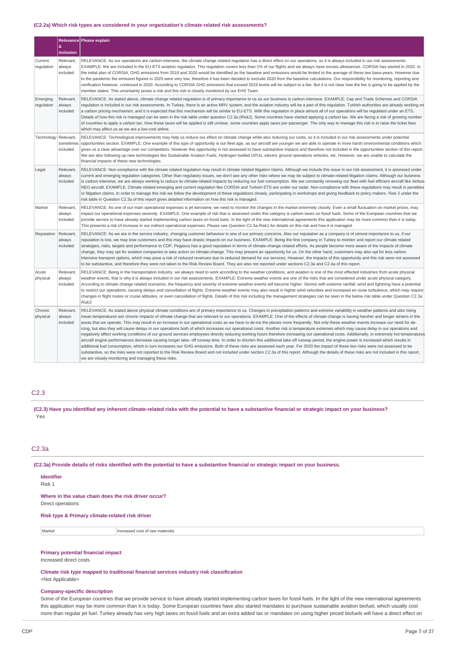### **(C2.2a) Which risk types are considered in your organization's climate-related risk assessments?**

|                        |                                    | Relevance Please explain                                                                                                                                                                                                                                                                                                                                                                                                                                                                                                                                                                                                                                                                                                                                                                                                                                                                                                                                                                                                                                                                                                                                                                                                                                                                                                                                                                                                                                                                                                                                                                                         |  |
|------------------------|------------------------------------|------------------------------------------------------------------------------------------------------------------------------------------------------------------------------------------------------------------------------------------------------------------------------------------------------------------------------------------------------------------------------------------------------------------------------------------------------------------------------------------------------------------------------------------------------------------------------------------------------------------------------------------------------------------------------------------------------------------------------------------------------------------------------------------------------------------------------------------------------------------------------------------------------------------------------------------------------------------------------------------------------------------------------------------------------------------------------------------------------------------------------------------------------------------------------------------------------------------------------------------------------------------------------------------------------------------------------------------------------------------------------------------------------------------------------------------------------------------------------------------------------------------------------------------------------------------------------------------------------------------|--|
|                        | &<br>inclusion                     |                                                                                                                                                                                                                                                                                                                                                                                                                                                                                                                                                                                                                                                                                                                                                                                                                                                                                                                                                                                                                                                                                                                                                                                                                                                                                                                                                                                                                                                                                                                                                                                                                  |  |
| Current<br>regulation  | Relevant.<br>always<br>included    | RELEVANCE: As our operations are carbon-intensive, the climate change related regulation has a direct effect on our operations, so it is always included in our risk assessments.<br>EXAMPLE: We are included in the EU-ETS aviation regulation. This regulation covers less than 1% of our flights and we always have excess allowances. CORSIA has started in 2020. In<br>the initial plan of CORSIA, GHG emissions from 2019 and 2020 would be identified as the baseline and emissions would be limited to the average of these two base-years. However due<br>to the pandemic the emission figures in 2020 were very low, therefore it has been decided to exclude 2020 from the baseline calculations. Our responsibility for monitoring, reporting and<br>verification however, continued in 2020. According to CORSIA GHG emissions that exceed 2019 levels will be subject to a fee. But it is not clear how the fee is going to be applied by the<br>member states. This uncertainty poses a risk and this risk is closely monitored by our EHS Team.                                                                                                                                                                                                                                                                                                                                                                                                                                                                                                                                                  |  |
| Emerging<br>regulation | Relevant,<br>always<br>included    | RELEVANCE: As stated above, climate change related regulation is of primary importance to us as our business is carbon intensive. EXAMPLE: Cap and Trade Schemes and CORSIA<br>requlation is included in our risk assessments. In Turkey, there is an active MRV system, and the aviation industry will be a part of this requlation. Turkish authorities are already working on<br>a carbon pricing mechanism, and it is expected that this mechanism will be similar to EU-ETS. With this regulation in place almost all of our operations will be regulated under an ETS.<br>Details of how this risk is managed can be seen in the risk table under question C2.3a (Risk2). Some countries have started applying a carbon tax. We are facing a risk of growing number<br>of countries to apply a carbon tax. How these taxes will be applied is still unclear, some countries apply taxes per passenger. The only way to manage this risk is to raise the ticket fees<br>which may affect us as we are a low-cost airline.                                                                                                                                                                                                                                                                                                                                                                                                                                                                                                                                                                                   |  |
| Technology             | Relevant,<br>sometimes<br>included | RELEVANCE: Technological improvements may help us reduce our effect on climate change while also reducing our costs, so it is included in our risk assessments under potential<br>opportunities section. EXAMPLE: One example of this type of opportunity is our fleet age, as our aircraft are younger we are able to operate in more harsh environmental conditions which<br>gives us a clear advantage over our competitors. However this opportunity is not assessed to have substantive impacts and therefore not included in the opportunities section of this report.<br>We are also following up new technologies like Sustainable Aviation Fuels, Hydrogen fuelled GPUs, electric ground operations vehicles, etc. However, we are unable to calculate the<br>financial impacts of these new technologies.                                                                                                                                                                                                                                                                                                                                                                                                                                                                                                                                                                                                                                                                                                                                                                                              |  |
| Legal                  | Relevant,<br>always<br>included    | RELEVANCE: Non-compliance with the climate related regulation may result in climate related litigation claims. Although we include this issue in our risk assessment, it is assessed under<br>current and emerging regulation categories. Other than regulatory issues, we don't see any other risks where we may be subject to climate-related litigation claims. Although our business<br>is carbon-intensive, we are always working to reduce its climate-related impacts by reducing our fuel consumption. We are constantly renewing our fleet with fuel efficient aircraft like Airbus<br>NEO aircraft. EXAMPLE: Climate related emerging and current regulation like CORSIA and Turkish ETS are under our radar. Non-compliance with these regulations may result in penalties<br>or litigation claims. In order to manage this risk we follow the development of these regulations closely, participating in workshops and giving feedback to policy makers. Risk 2 under the<br>risk table in Question C2.3a of this report gives detailed information on how this risk is managed.                                                                                                                                                                                                                                                                                                                                                                                                                                                                                                                     |  |
| Market                 | Relevant,<br>always<br>included    | RELEVANCE: As one of our main operational expenses is jet kerosene, we need to monitor the changes in the market extremely closely. Even a small fluctuation on market prices, may<br>impact our operational expenses severely. EXAMPLE: One example of risk that is assessed under this category is carbon taxes on fossil fuels. Some of the European countries that we<br>provide service to have already started implementing carbon taxes on fossil fuels. In the light of the new international agreements this application may be more common than it is today.<br>This presents a risk of increase in our indirect operational expenses. Please see Question C2.3a-Risk1 for details on this risk and how it is managed.                                                                                                                                                                                                                                                                                                                                                                                                                                                                                                                                                                                                                                                                                                                                                                                                                                                                                 |  |
| Reputation             | Relevant,<br>always<br>included    | RELEVANCE: As we are in the service industry, changing customer behaviour is one of our primary concerns. Also our reputation as a company is of utmost importance to us, if our<br>reputation is lost, we may lose customers and this may have drastic impacts on our business. EXAMPLE: Being the first company in Turkey to monitor and report our climate related<br>strategies, risks, targets and performance to CDP, Pegasus has a good reputation in terms of climate-change related efforts. As people become more aware of the impacts of climate<br>change, they may opt for aviation companies to take action on climate-change. This may present an opportunity for us. On the other hand, customers may also opt for less carbon<br>intensive transport options, which may pose a risk of reduced revenues due to reduced demand for our services. However, the impacts of this opportunity and this risk were not assessed<br>to be substantive, and therefore they were not taken to the Risk Review Board. They are also not reported under sections C2.3a and C2.4a of this report.                                                                                                                                                                                                                                                                                                                                                                                                                                                                                                            |  |
| Acute<br>physical      | Relevant,<br>always<br>included    | RELEVANCE: Being in the transportation industry, we always need to work according to the weather conditions, and aviation is one of the most effected industries from acute physical<br>weather events, that is why it is always included in our risk assessments. EXAMPLE: Extreme weather events are one of the risks that are considered under acute physical category.<br>According to climate change related scenarios, the frequency and severity of extreme weather events will become higher. Storms with extreme rainfall, wind and lightning have a potential<br>to restrict our operations, causing delays and cancellation of flights. Extreme weather events may also result in higher wind velocities and increased en route turbulence, which may require<br>changes in flight routes or cruise altitudes, or even cancellation of flights. Details of this risk including the management strategies can be seen in the below risk table under Question C2.3a<br>Risk3                                                                                                                                                                                                                                                                                                                                                                                                                                                                                                                                                                                                                            |  |
| Chronic<br>physical    | Relevant,<br>always<br>included    | RELEVANCE: As stated above physical climate conditions are of primary importance to us. Changes in precipitation patterns and extreme variability in weather patterns and also rising<br>mean temperatures are chronic impacts of climate change that are relevant to our operations. EXAMPLE: One of the effects of climate change is having harsher and longer winters in the<br>areas that we operate. This may result in an increase in our operational costs as we have to de-ice the planes more frequently. Not only these weather events increase our need for de-<br>icing, but also they will cause delays in our operations both of which increases our operational costs. Another risk is temperature extremes which may cause delay in our operations and<br>negatively affect working conditions of our ground services employees directly reducing working hours therefore increasing our operational costs. Additionally, in extremely hot temperatures<br>aircraft engine performances decrease causing longer take- off runway time. In order to shorten this additional take-off runway period, the engine power is increased which results in<br>additional fuel consumption, which in turn increases our GHG emissions. Both of these risks are assessed each year. For 2020 the impact of these two risks were not assessed to be<br>substantive, so the risks were not reported to the Risk Review Board and not included under section C2.3a of this report. Although the details of these risks are not included in this report,<br>we are closely monitoring and managing these risks. |  |

## C2.3

(C2.3) Have you identified any inherent climate-related risks with the potential to have a substantive financial or strategic impact on your business? Yes

## C2.3a

(C2.3a) Provide details of risks identified with the potential to have a substantive financial or strategic impact on your business.

| <b>Identifier</b><br>Risk 1                                               |
|---------------------------------------------------------------------------|
| Where in the value chain does the risk driver occur?<br>Direct operations |

### **Risk type & Primary climate-related risk driver**

| Market | Increased cost of raw materials |
|--------|---------------------------------|
|        |                                 |

## **Primary potential financial impact**

Increased direct costs

**Climate risk type mapped to traditional financial services industry risk classification** <Not Applicable>

### **Company-specific description**

Some of the European countries that we provide service to have already started implementing carbon taxes for fossil fuels. In the light of the new international agreements this application may be more common than it is today. Some European countries have also started mandates to purchase sustainable aviation biofuel, which usually cost more than regular jet fuel. Turkey already has very high taxes on fossil fuels and an extra added tax or mandates on using higher priced biofuels will have a direct effect on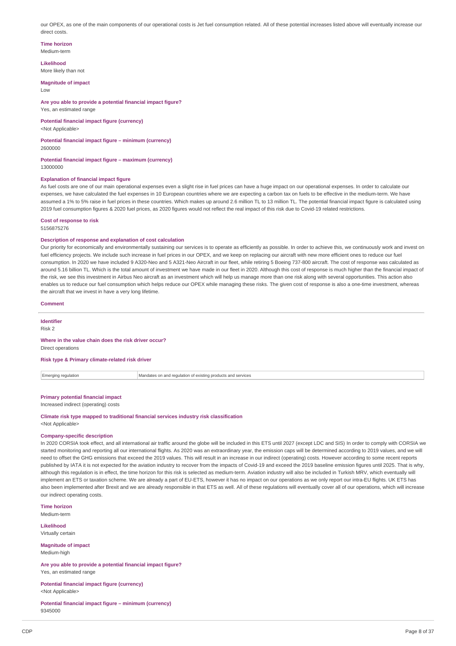our OPEX, as one of the main components of our operational costs is Jet fuel consumption related. All of these potential increases listed above will eventually increase our direct costs.

#### **Time horizon** Medium-term

**Likelihood** More likely than not

**Magnitude of impact**

Low

**Are you able to provide a potential financial impact figure?** Yes, an estimated range

**Potential financial impact figure (currency)** <Not Applicable>

**Potential financial impact figure – minimum (currency)** 2600000

**Potential financial impact figure – maximum (currency)** 13000000

### **Explanation of financial impact figure**

As fuel costs are one of our main operational expenses even a slight rise in fuel prices can have a huge impact on our operational expenses. In order to calculate our expenses, we have calculated the fuel expenses in 10 European countries where we are expecting a carbon tax on fuels to be effective in the medium-term. We have assumed a 1% to 5% raise in fuel prices in these countries. Which makes up around 2.6 million TL to 13 million TL. The potential financial impact figure is calculated using 2019 fuel consumption figures & 2020 fuel prices, as 2020 figures would not reflect the real impact of this risk due to Covid-19 related restrictions.

### **Cost of response to risk**

5156875276

#### **Description of response and explanation of cost calculation**

Our priority for economically and environmentally sustaining our services is to operate as efficiently as possible. In order to achieve this, we continuously work and invest on fuel efficiency projects. We include such increase in fuel prices in our OPEX, and we keep on replacing our aircraft with new more efficient ones to reduce our fuel consumption. In 2020 we have included 9 A320-Neo and 5 A321-Neo Aircraft in our fleet, while retiring 5 Boeing 737-800 aircraft. The cost of response was calculated as around 5.16 billion TL. Which is the total amount of investment we have made in our fleet in 2020. Although this cost of response is much higher than the financial impact of the risk, we see this investment in Airbus Neo aircraft as an investment which will help us manage more than one risk along with several opportunities. This action also enables us to reduce our fuel consumption which helps reduce our OPEX while managing these risks. The given cost of response is also a one-time investment, whereas the aircraft that we invest in have a very long lifetime.

#### **Comment**

**Identifier** Risk 2

### **Where in the value chain does the risk driver occur?** Direct operations

**Risk type & Primary climate-related risk driver**

Emerging regulation Mandates on and regulation of existing products and services

## **Primary potential financial impact**

Increased indirect (operating) costs

**Climate risk type mapped to traditional financial services industry risk classification** <Not Applicable>

#### **Company-specific description**

In 2020 CORSIA took effect, and all international air traffic around the globe will be included in this ETS until 2027 (except LDC and SIS) In order to comply with CORSIA we started monitoring and reporting all our international flights. As 2020 was an extraordinary year, the emission caps will be determined according to 2019 values, and we will need to offset the GHG emissions that exceed the 2019 values. This will result in an increase in our indirect (operating) costs. However according to some recent reports published by IATA it is not expected for the aviation industry to recover from the impacts of Covid-19 and exceed the 2019 baseline emission figures until 2025. That is why, although this regulation is in effect, the time horizon for this risk is selected as medium-term. Aviation industry will also be included in Turkish MRV, which eventually will implement an ETS or taxation scheme. We are already a part of EU-ETS, however it has no impact on our operations as we only report our intra-EU flights. UK ETS has also been implemented after Brexit and we are already responsible in that ETS as well. All of these regulations will eventually cover all of our operations, which will increase our indirect operating costs.

**Time horizon** Medium-term

**Likelihood** Virtually certain

**Magnitude of impact** Medium-high

**Are you able to provide a potential financial impact figure?** Yes, an estimated range

**Potential financial impact figure (currency)** <Not Applicable>

**Potential financial impact figure – minimum (currency)** 9345000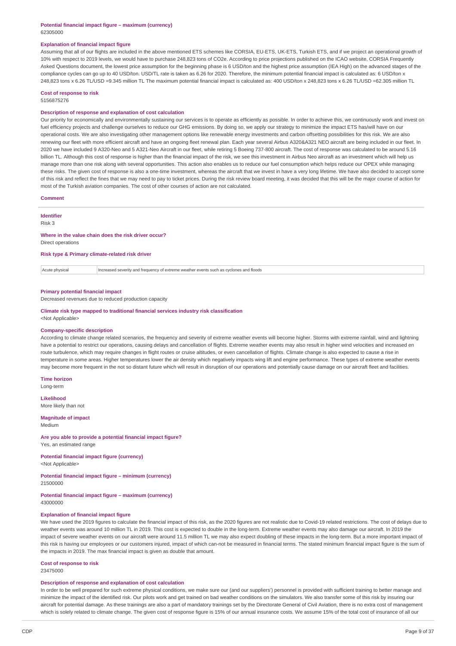### **Potential financial impact figure – maximum (currency)** 62305000

#### **Explanation of financial impact figure**

Assuming that all of our flights are included in the above mentioned ETS schemes like CORSIA, EU-ETS, UK-ETS, Turkish ETS, and if we project an operational growth of 10% with respect to 2019 levels, we would have to purchase 248,823 tons of CO2e. According to price projections published on the ICAO website, CORSIA Frequently Asked Questions document, the lowest price assumption for the beginning phase is 6 USD/ton and the highest price assumption (IEA High) on the advanced stages of the compliance cycles can go up to 40 USD/ton. USD/TL rate is taken as 6.26 for 2020. Therefore, the minimum potential financial impact is calculated as: 6 USD/ton x 248,823 tons x 6.26 TL/USD =9.345 million TL The maximum potential financial impact is calculated as: 400 USD/ton x 248,823 tons x 6.26 TL/USD =62.305 million TL

#### **Cost of response to risk** 5156875276

## **Description of response and explanation of cost calculation**

Our priority for economically and environmentally sustaining our services is to operate as efficiently as possible. In order to achieve this, we continuously work and invest on fuel efficiency projects and challenge ourselves to reduce our GHG emissions. By doing so, we apply our strategy to minimize the impact ETS has/will have on our operational costs. We are also investigating other management options like renewable energy investments and carbon offsetting possibilities for this risk. We are also renewing our fleet with more efficient aircraft and have an ongoing fleet renewal plan. Each year several Airbus A320&A321 NEO aircraft are being included in our fleet. In 2020 we have included 9 A320-Neo and 5 A321-Neo Aircraft in our fleet, while retiring 5 Boeing 737-800 aircraft. The cost of response was calculated to be around 5.16 billion TL. Although this cost of response is higher than the financial impact of the risk, we see this investment in Airbus Neo aircraft as an investment which will help us manage more than one risk along with several opportunities. This action also enables us to reduce our fuel consumption which helps reduce our OPEX while managing these risks. The given cost of response is also a one-time investment, whereas the aircraft that we invest in have a very long lifetime. We have also decided to accept some of this risk and reflect the fines that we may need to pay to ticket prices. During the risk review board meeting, it was decided that this will be the major course of action for most of the Turkish aviation companies. The cost of other courses of action are not calculated.

### **Comment**

**Identifier**

#### Risk 3

## **Where in the value chain does the risk driver occur?**

Direct operations

**Risk type & Primary climate-related risk driver**

 $|$  Acute physical  $|$  Increased severity and frequency of extreme weather events such as cyclones and floods

#### **Primary potential financial impact**

Decreased revenues due to reduced production capacity

## **Climate risk type mapped to traditional financial services industry risk classification**

## <Not Applicable>

## **Company-specific description**

According to climate change related scenarios, the frequency and severity of extreme weather events will become higher. Storms with extreme rainfall, wind and lightning have a potential to restrict our operations, causing delays and cancellation of flights. Extreme weather events may also result in higher wind velocities and increased en route turbulence, which may require changes in flight routes or cruise altitudes, or even cancellation of flights. Climate change is also expected to cause a rise in temperature in some areas. Higher temperatures lower the air density which negatively impacts wing lift and engine performance. These types of extreme weather events may become more frequent in the not so distant future which will result in disruption of our operations and potentially cause damage on our aircraft fleet and facilities.

**Time horizon** Long-term

**Likelihood**

More likely than not

**Magnitude of impact** Medium

#### **Are you able to provide a potential financial impact figure?** Yes, an estimated range

**Potential financial impact figure (currency)**

<Not Applicable>

**Potential financial impact figure – minimum (currency)** 21500000

#### **Potential financial impact figure – maximum (currency)** 43000000

### **Explanation of financial impact figure**

We have used the 2019 figures to calculate the financial impact of this risk, as the 2020 figures are not realistic due to Covid-19 related restrictions. The cost of delays due to weather events was around 10 million TL in 2019. This cost is expected to double in the long-term. Extreme weather events may also damage our aircraft. In 2019 the impact of severe weather events on our aircraft were around 11.5 million TL we may also expect doubling of these impacts in the long-term. But a more important impact of this risk is having our employees or our customers injured, impact of which can-not be measured in financial terms. The stated minimum financial impact figure is the sum of the impacts in 2019. The max financial impact is given as double that amount.

#### **Cost of response to risk**

23475000

### **Description of response and explanation of cost calculation**

In order to be well prepared for such extreme physical conditions, we make sure our (and our suppliers') personnel is provided with sufficient training to better manage and minimize the impact of the identified risk. Our pilots work and get trained on bad weather conditions on the simulators. We also transfer some of this risk by insuring our aircraft for potential damage. As these trainings are also a part of mandatory trainings set by the Directorate General of Civil Aviation, there is no extra cost of management which is solely related to climate change. The given cost of response figure is 15% of our annual insurance costs. We assume 15% of the total cost of insurance of all our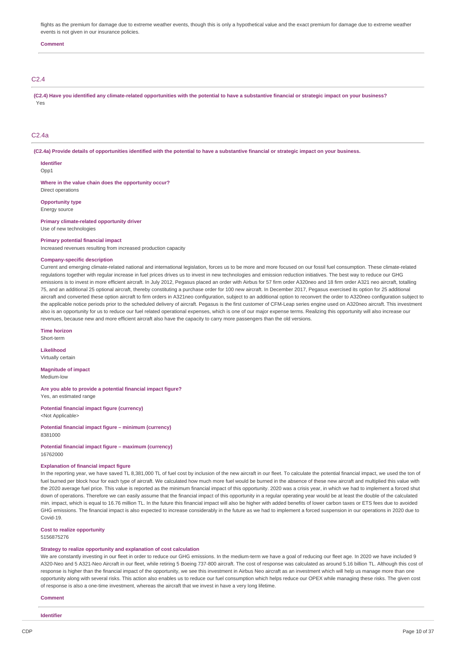flights as the premium for damage due to extreme weather events, though this is only a hypothetical value and the exact premium for damage due to extreme weather events is not given in our insurance policies.

#### **Comment**

### C2.4

(C2.4) Have you identified any climate-related opportunities with the potential to have a substantive financial or strategic impact on your business? Yes

### C2.4a

(C2.4a) Provide details of opportunities identified with the potential to have a substantive financial or strategic impact on your business.

**Identifier** Opp<sub>1</sub>

**Where in the value chain does the opportunity occur?** Direct operations

**Opportunity type** Energy source

**Primary climate-related opportunity driver** Use of new technologies

## **Primary potential financial impact**

Increased revenues resulting from increased production capacity

#### **Company-specific description**

Current and emerging climate-related national and international legislation, forces us to be more and more focused on our fossil fuel consumption. These climate-related regulations together with regular increase in fuel prices drives us to invest in new technologies and emission reduction initiatives. The best way to reduce our GHG emissions is to invest in more efficient aircraft. In July 2012, Pegasus placed an order with Airbus for 57 firm order A320neo and 18 firm order A321 neo aircraft, totalling 75, and an additional 25 optional aircraft, thereby constituting a purchase order for 100 new aircraft. In December 2017, Pegasus exercised its option for 25 additional aircraft and converted these option aircraft to firm orders in A321neo configuration, subject to an additional option to reconvert the order to A320neo configuration subject to the applicable notice periods prior to the scheduled delivery of aircraft. Pegasus is the first customer of CFM-Leap series engine used on A320neo aircraft. This investment also is an opportunity for us to reduce our fuel related operational expenses, which is one of our major expense terms. Realizing this opportunity will also increase our revenues, because new and more efficient aircraft also have the capacity to carry more passengers than the old versions.

**Time horizon**

Short-term

**Likelihood** Virtually certain

**Magnitude of impact** Medium-low

**Are you able to provide a potential financial impact figure?** Yes, an estimated range

**Potential financial impact figure (currency)** <Not Applicable>

**Potential financial impact figure – minimum (currency)** 8381000

### **Potential financial impact figure – maximum (currency)** 16762000

### **Explanation of financial impact figure**

In the reporting year, we have saved TL 8,381,000 TL of fuel cost by inclusion of the new aircraft in our fleet. To calculate the potential financial impact, we used the ton of fuel burned per block hour for each type of aircraft. We calculated how much more fuel would be burned in the absence of these new aircraft and multiplied this value with the 2020 average fuel price. This value is reported as the minimum financial impact of this opportunity. 2020 was a crisis year, in which we had to implement a forced shut down of operations. Therefore we can easily assume that the financial impact of this opportunity in a regular operating year would be at least the double of the calculated min. impact, which is equal to 16.76 million TL. In the future this financial impact will also be higher with added benefits of lower carbon taxes or ETS fees due to avoided GHG emissions. The financial impact is also expected to increase considerably in the future as we had to implement a forced suspension in our operations in 2020 due to Covid-19.

## **Cost to realize opportunity**

5156875276

### **Strategy to realize opportunity and explanation of cost calculation**

We are constantly investing in our fleet in order to reduce our GHG emissions. In the medium-term we have a goal of reducing our fleet age. In 2020 we have included 9 A320-Neo and 5 A321-Neo Aircraft in our fleet, while retiring 5 Boeing 737-800 aircraft. The cost of response was calculated as around 5.16 billion TL. Although this cost of response is higher than the financial impact of the opportunity, we see this investment in Airbus Neo aircraft as an investment which will help us manage more than one opportunity along with several risks. This action also enables us to reduce our fuel consumption which helps reduce our OPEX while managing these risks. The given cost of response is also a one-time investment, whereas the aircraft that we invest in have a very long lifetime.

#### **Comment**

**Identifier**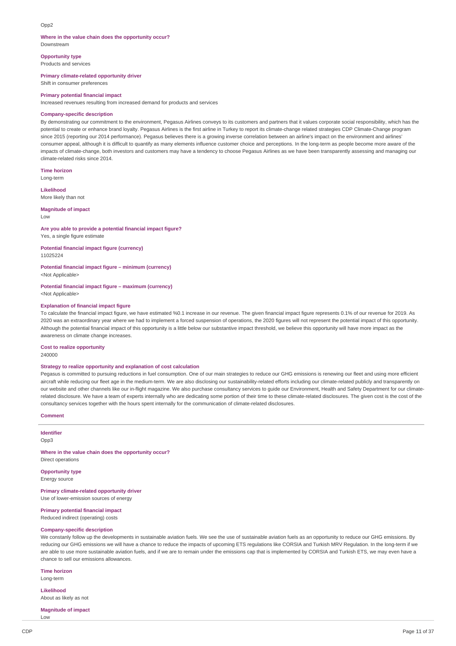### Opp2

### **Where in the value chain does the opportunity occur?**

Downstream

**Opportunity type** Products and services

**Primary climate-related opportunity driver**

Shift in consumer preferences

#### **Primary potential financial impact**

Increased revenues resulting from increased demand for products and services

### **Company-specific description**

By demonstrating our commitment to the environment, Pegasus Airlines conveys to its customers and partners that it values corporate social responsibility, which has the potential to create or enhance brand loyalty. Pegasus Airlines is the first airline in Turkey to report its climate-change related strategies CDP Climate-Change program since 2015 (reporting our 2014 performance). Pegasus believes there is a growing inverse correlation between an airline's impact on the environment and airlines' consumer appeal, although it is difficult to quantify as many elements influence customer choice and perceptions. In the long-term as people become more aware of the impacts of climate-change, both investors and customers may have a tendency to choose Pegasus Airlines as we have been transparently assessing and managing our climate-related risks since 2014.

**Time horizon**

Long-term

**Likelihood**

More likely than not

## **Magnitude of impact**

Low

### **Are you able to provide a potential financial impact figure?**

Yes, a single figure estimate

**Potential financial impact figure (currency)** 11025224

**Potential financial impact figure – minimum (currency)**

<Not Applicable>

**Potential financial impact figure – maximum (currency)** <Not Applicable>

### **Explanation of financial impact figure**

To calculate the financial impact figure, we have estimated %0.1 increase in our revenue. The given financial impact figure represents 0.1% of our revenue for 2019. As 2020 was an extraordinary year where we had to implement a forced suspension of operations, the 2020 figures will not represent the potential impact of this opportunity. Although the potential financial impact of this opportunity is a little below our substantive impact threshold, we believe this opportunity will have more impact as the awareness on climate change increases.

### **Cost to realize opportunity**

240000

### **Strategy to realize opportunity and explanation of cost calculation**

Pegasus is committed to pursuing reductions in fuel consumption. One of our main strategies to reduce our GHG emissions is renewing our fleet and using more efficient aircraft while reducing our fleet age in the medium-term. We are also disclosing our sustainability-related efforts including our climate-related publicly and transparently on our website and other channels like our in-flight magazine. We also purchase consultancy services to guide our Environment, Health and Safety Department for our climaterelated disclosure. We have a team of experts internally who are dedicating some portion of their time to these climate-related disclosures. The given cost is the cost of the consultancy services together with the hours spent internally for the communication of climate-related disclosures.

### **Comment**

**Identifier** Opp3

**Where in the value chain does the opportunity occur?** Direct operations

**Opportunity type** Energy source

**Primary climate-related opportunity driver** Use of lower-emission sources of energy

**Primary potential financial impact** Reduced indirect (operating) costs

#### **Company-specific description**

We constanly follow up the developments in sustainable aviation fuels. We see the use of sustainable aviation fuels as an opportunity to reduce our GHG emissions. By reducing our GHG emissions we will have a chance to reduce the impacts of upcoming ETS regulations like CORSIA and Turkish MRV Regulation. In the long-term if we are able to use more sustainable aviation fuels, and if we are to remain under the emissions cap that is implemented by CORSIA and Turkish ETS, we may even have a chance to sell our emissions allowances.

**Time horizon**

Long-term

Low

**Likelihood** About as likely as not

**Magnitude of impact**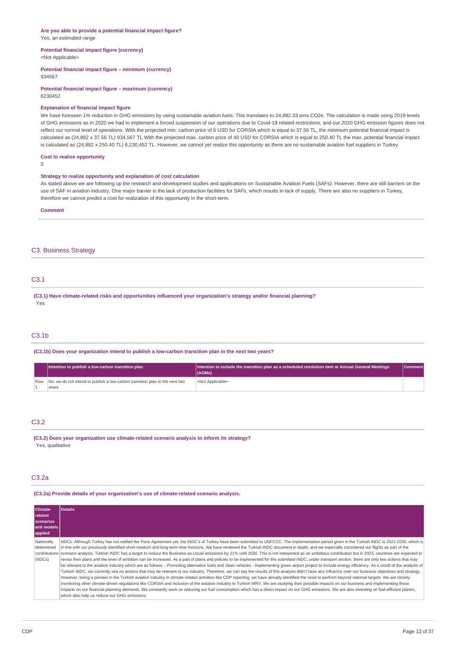### **Are you able to provide a potential financial impact figure?** Yes, an estimated range

## **Potential financial impact figure (currency)**

<Not Applicable>

#### **Potential financial impact figure – minimum (currency)** 934567

**Potential financial impact figure – maximum (currency)** 6230452

### **Explanation of financial impact figure**

We have foreseen 1% reduction in GHG emissions by using sustainable aviation fuels. This translates to 24,882.33 tons CO2e. The calculation is made using 2019 levels of GHG emissions as in 2020 we had to implement a forced suspension of our operations due to Covid-19 related restrictions, and our 2020 GHG emission figures does not reflect our normal level of operations. With the projected min. carbon price of 6 USD for CORSIA which is equal to 37.56 TL, the minimum potential financial impact is calculated as (24,882 x 37.56 TL) 934,567 TL With the projected max. carbon price of 40 USD for CORSIA which is equal to 250.40 TL the max. potential financial impact is calculated as (24,882 x 250.40 TL) 6,230,452 TL. However, we cannot yet realize this opportunity as there are no sustainable aviation fuel suppliers in Turkey.

### **Cost to realize opportunity**

0

#### **Strategy to realize opportunity and explanation of cost calculation**

As stated above we are following up the research and development studies and applications on Sustainable Aviation Fuels (SAFs). However, there are still barriers on the use of SAF in aviation industry. One major barrier is the lack of production facilities for SAFs, which results in lack of supply. There are also no suppliers in Turkey, therefore we cannot predict a cost for realization of this opportunity in the short-term.

#### **Comment**

## C3. Business Strategy

### C3.1

**(C3.1) Have climate-related risks and opportunities influenced your organization's strategy and/or financial planning?** Yes

## C3.1b

**(C3.1b) Does your organization intend to publish a low-carbon transition plan in the next two years?**

| Intention to publish a low-carbon transition plan                                | Intention to include the transition plan as a scheduled resolution item at Annual General Meetings<br>(AGMs) | <b>Comment</b> |
|----------------------------------------------------------------------------------|--------------------------------------------------------------------------------------------------------------|----------------|
| Row No, we do not intend to publish a low-carbon transition plan in the next two | <not applicable=""></not>                                                                                    |                |
| vears                                                                            |                                                                                                              |                |

## C3.2

**(C3.2) Does your organization use climate-related scenario analysis to inform its strategy?** Yes, qualitative

## C3.2a

**(C3.2a) Provide details of your organization's use of climate-related scenario analysis.**

| Climate-<br>related<br>scenarios<br>and models<br>applied | <b>Details</b>                                                                                                                                                                                                                                                                                                                                                                                                                                                                                                                                                                                                                                                                                                                                                                                                                                                                                                                                                                                                                                                                                                                                                                                                                                                                                                                                                                                                                                                                                                                                                                                                                                                                                                                                                                                                                                                                                                         |
|-----------------------------------------------------------|------------------------------------------------------------------------------------------------------------------------------------------------------------------------------------------------------------------------------------------------------------------------------------------------------------------------------------------------------------------------------------------------------------------------------------------------------------------------------------------------------------------------------------------------------------------------------------------------------------------------------------------------------------------------------------------------------------------------------------------------------------------------------------------------------------------------------------------------------------------------------------------------------------------------------------------------------------------------------------------------------------------------------------------------------------------------------------------------------------------------------------------------------------------------------------------------------------------------------------------------------------------------------------------------------------------------------------------------------------------------------------------------------------------------------------------------------------------------------------------------------------------------------------------------------------------------------------------------------------------------------------------------------------------------------------------------------------------------------------------------------------------------------------------------------------------------------------------------------------------------------------------------------------------------|
| Nationally<br>determined<br>(NDCs)                        | NDCs: Although Turkey has not ratified the Paris Agreement yet, the INDC's of Turkey have been submitted to UNFCCC. The implementation period given in the Turkish INDC is 2021-2030, which is<br>in line with our previously identified short-medium and long-term time horizons. We have reviewed the Turkish INDC document in depth, and we especially considered our flights as part of the<br>contributions   scenario analysis. Turkish INDC has a target to reduce the Business-as-Usual emissions by 21% until 2030. This is not interpreted as an ambitious contribution but in 2023, countries are expected to<br>revise their plans and the level of ambition can be increased. As a part of plans and policies to be implemented for the submitted INDC, under transport section, there are only two actions that may<br>be relevant to the aviation industry which are as follows: - Promoting alternative fuels and clean vehicles - Implementing green airport project to include energy efficiency. As a result of the analysis of<br>Turkish INDC, we currently see no actions that may be relevant to our industry. Therefore, we can say the results of this analysis didn't have any influence over our business objectives and strategy.<br>However, being a pioneer in the Turkish aviation industry in climate-related activities like CDP reporting, we have already identified the need to perform beyond national targets. We are closely<br>monitoring other climate-driven regulations like CORSIA and inclusion of the aviation industry to Turkish MRV. We are studying their possible impacts on our business and implementing those<br>impacts on our financial planning elements. We constantly work on reducing our fuel consumption which has a direct impact on our GHG emissions. We are also investing on fuel-efficient planes,<br>which also help us reduce our GHG emissions. |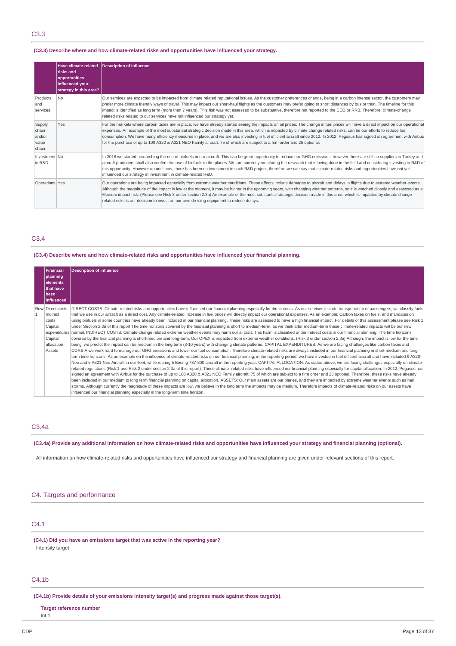## C3.3

## **(C3.3) Describe where and how climate-related risks and opportunities have influenced your strategy.**

|                                             | <b>Have climate-related</b><br><b>Irisks</b> and<br>opportunities<br>influenced your<br>strategy in this area? | Description of influence                                                                                                                                                                                                                                                                                                                                                                                                                                                                                                                                                                                                                                                 |
|---------------------------------------------|----------------------------------------------------------------------------------------------------------------|--------------------------------------------------------------------------------------------------------------------------------------------------------------------------------------------------------------------------------------------------------------------------------------------------------------------------------------------------------------------------------------------------------------------------------------------------------------------------------------------------------------------------------------------------------------------------------------------------------------------------------------------------------------------------|
| Products<br>land<br>services                | N <sub>0</sub>                                                                                                 | Our services are expected to be impacted from climate related reputational issues. As the customer preferences change, being in a carbon intense sector, the customers may<br>prefer more climate friendly ways of travel. This may impact our short-haul flights as the customers may prefer going to short distances by bus or train. The timeline for this<br>impact is identified as long term (more than 7 years). This risk was not assessed to be substantive, therefore not reported to the CEO or RRB. Therefore, climate-change<br>related risks related to our services have not influenced our strategy yet.                                                 |
| Supply<br>chain<br>and/or<br>value<br>chain | Yes                                                                                                            | For the markets where carbon taxes are in place, we have already started seeing the impacts on oil prices. The change in fuel prices will have a direct impact on our operational<br>expenses. An example of the most substantial strategic decision made in this area, which is impacted by climate change related risks, can be our efforts to reduce fuel<br>consumption. We have many efficiency measures in place, and we are also investing in fuel efficient aircraft since 2012. In 2012, Pegasus has signed an agreement with Airbus<br>for the purchase of up to 100 A320 & A321 NEO Family aircraft, 75 of which are subject to a firm order and 25 optional. |
| Investment No<br>in R&D                     |                                                                                                                | In 2018 we started researching the use of biofuels in our aircraft. This can be great opportunity to reduce our GHG emissions, however there are still no suppliers in Turkey and<br>aircraft producers shall also confirm the use of biofuels in the planes. We are currently monitoring the research that is being done in the field and considering investing in R&D of<br>this opportunity. However up until now, there has been no investment in such R&D project, therefore we can say that climate-related risks and opportunities have not yet<br>influenced our strategy in investment in climate-related R&D.                                                  |
| Operations Yes                              |                                                                                                                | Our operations are being impacted especially from extreme weather conditions. These effects include damages to aircraft and delays in flights due to extreme weather events.<br>Although the magnitude of the impact is low at the moment, it may be higher in the upcoming years, with changing weather patterns, so it is watched closely and assessed as a<br>Medium impact risk. (Please see Risk 3 under section 2.3a) An example of the most substantial strategic decision made in this area, which is impacted by climate change<br>related risks is our decision to invest on our own de-icing equipment to reduce delays.                                      |

## C3.4

### **(C3.4) Describe where and how climate-related risks and opportunities have influenced your financial planning.**

| Financial            | <b>Description of influence</b>                                                                                                                                                                        |  |  |
|----------------------|--------------------------------------------------------------------------------------------------------------------------------------------------------------------------------------------------------|--|--|
| planning             |                                                                                                                                                                                                        |  |  |
| <b>elements</b>      |                                                                                                                                                                                                        |  |  |
| <b>Ithat have</b>    |                                                                                                                                                                                                        |  |  |
| l been<br>influenced |                                                                                                                                                                                                        |  |  |
|                      |                                                                                                                                                                                                        |  |  |
| Row Direct costs     | DIRECT COSTS: Climate-related risks and opportunities have influenced our financial planning especially for direct costs. As our services include transportation of passengers, we classify fuels      |  |  |
| Indirect             | that we use in our aircraft as a direct cost. Any climate-related increase in fuel prices will directly impact our operational expenses. As an example: Carbon taxes on fuels, and mandates on         |  |  |
| costs                | using biofuels in some countries have already been included in our financial planning. These risks are assessed to have a high financial impact. For details of this assessment please see Risk 1      |  |  |
| Capital              | under Section 2.3a of this report The time horizons covered by the financial planning is short to medium-term, as we think after medium-term these climate-related impacts will be our new             |  |  |
|                      | expenditures normal. INDIRECT COSTS: Climate-change related extreme weather events may harm our aircraft. This harm is classified under indirect costs in our financial planning. The time horizons    |  |  |
| Capital              | covered by the financial planning is short-medium and long-term. Our OPEX is impacted from extreme weather conditions. (Risk 3 under section 2.3a) Although, the impact is low for the time            |  |  |
| allocation           | being, we predict the impact can be medium in the long term (3-10 years) with changing climate patterns. CAPITAL EXPENDITURES: As we are facing challenges like carbon taxes and                       |  |  |
| Assets               | CORSIA we work hard to manage our GHG emissions and lower our fuel consumption. Therefore climate-related risks are always included in our financial planning in short-medium and long-                |  |  |
|                      | term time horizons. As an example on the influence of climate-related risks on our financial planning, in the reporting period, we have invested in fuel efficent aircraft and have included 9 A320-   |  |  |
|                      | Neo and 5 A321-Neo Aircraft in our fleet, while retiring 5 Boeing 737-800 aircraft in the reporting year. CAPITAL ALLOCATION: As stated above, we are facing challenges especially on climate-         |  |  |
|                      | related regulations (Risk 1 and Risk 2 under section 2.3a of this report). These climate -related risks have influenced our financial planning especially for capital allocation. In 2012, Pegasus has |  |  |
|                      | signed an agreement with Airbus for the purchase of up to 100 A320 & A321 NEO Family aircraft, 75 of which are subject to a firm order and 25 optional. Therefore, these risks have already            |  |  |
|                      | been included in our medium to long term financial planning on capital allocation. ASSETS: Our main assets are our planes, and they are impacted by extreme weather events such as hail                |  |  |
|                      | storms. Although currently the magnitude of these impacts are low, we believe in the long term the impacts may be medium. Therefore impacts of climate-related risks on our assets have                |  |  |
|                      | influenced our financial planning especially in the long-term time horizon.                                                                                                                            |  |  |

## C3.4a

(C3.4a) Provide any additional information on how climate-related risks and opportunities have influenced your strategy and financial planning (optional).

All information on how climate-related risks and opportunities have influenced our strategy and financial planning are given under relevant sections of this report.

## C4. Targets and performance

## C4.1

**(C4.1) Did you have an emissions target that was active in the reporting year?** Intensity target

## C4.1b

**(C4.1b) Provide details of your emissions intensity target(s) and progress made against those target(s).**

### **Target reference number**

Int 1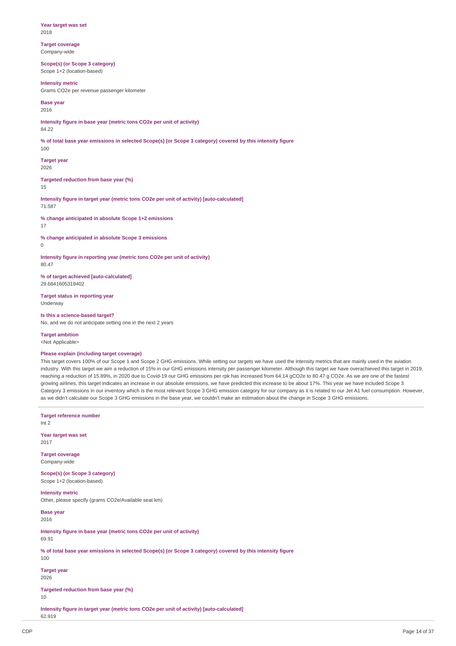**Year target was set** 2018

**Target coverage** Company-wide

**Scope(s) (or Scope 3 category)** Scope 1+2 (location-based)

### **Intensity metric**

Grams CO2e per revenue passenger kilometer

**Base year** 2016

**Intensity figure in base year (metric tons CO2e per unit of activity)**

84.22

% of total base year emissions in selected Scope(s) (or Scope 3 category) covered by this intensity figure 100

**Target year** 2026

**Targeted reduction from base year (%)**

15

**Intensity figure in target year (metric tons CO2e per unit of activity) [auto-calculated]** 71.587

**% change anticipated in absolute Scope 1+2 emissions** 17

**% change anticipated in absolute Scope 3 emissions**  $\Omega$ 

**Intensity figure in reporting year (metric tons CO2e per unit of activity)** 80.47

**% of target achieved [auto-calculated]** 29.6841605319402

**Target status in reporting year** Underway

**Is this a science-based target?** No, and we do not anticipate setting one in the next 2 years

**Target ambition**

<Not Applicable>

### **Please explain (including target coverage)**

This target covers 100% of our Scope 1 and Scope 2 GHG emissions. While setting our targets we have used the intensity metrics that are mainly used in the aviation industry. With this target we aim a reduction of 15% in our GHG emissions intensity per passenger kilometer. Although this target we have overachieved this target in 2019, reaching a reduction of 15.89%, in 2020 due to Covid-19 our GHG emissions per rpk has increased from 64.14 gCO2e to 80.47 g CO2e. As we are one of the fastest growing airlines, this target indicates an increase in our absolute emissions, we have predicted this increase to be about 17%. This year we have included Scope 3 Category 3 emissions in our inventory which is the most relevant Scope 3 GHG emission category for our company as it is related to our Jet A1 fuel consumption. However, as we didn't calculate our Scope 3 GHG emissions in the base year, we couldn't make an estimation about the change in Scope 3 GHG emissions.

**Target reference number** Int 2

**Year target was set** 2017

**Target coverage** Company-wide

**Scope(s) (or Scope 3 category)** Scope 1+2 (location-based)

**Intensity metric** Other, please specify (grams CO2e/Available seat km)

**Base year** 2016

**Intensity figure in base year (metric tons CO2e per unit of activity)** 69.91

% of total base year emissions in selected Scope(s) (or Scope 3 category) covered by this intensity figure 100

**Target year** 2026

**Targeted reduction from base year (%)** 10

**Intensity figure in target year (metric tons CO2e per unit of activity) [auto-calculated]** 62.919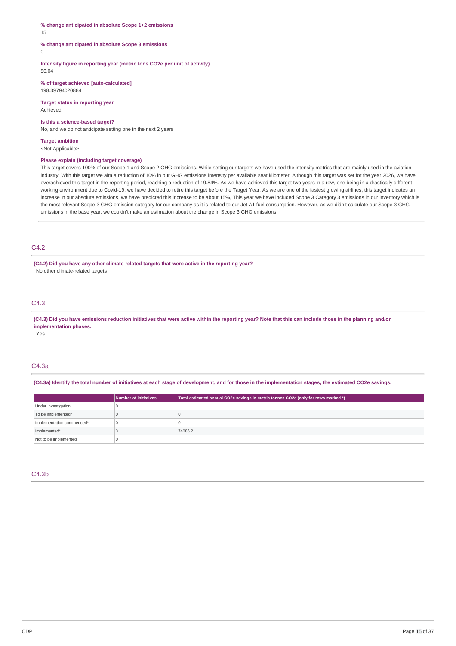### **% change anticipated in absolute Scope 1+2 emissions** 15

## **% change anticipated in absolute Scope 3 emissions**

 $\theta$ 

### **Intensity figure in reporting year (metric tons CO2e per unit of activity)** 56.04

**% of target achieved [auto-calculated]** 198.39794020884

**Target status in reporting year** Achieved

### **Is this a science-based target?**

No, and we do not anticipate setting one in the next 2 years

**Target ambition** <Not Applicable>

### **Please explain (including target coverage)**

This target covers 100% of our Scope 1 and Scope 2 GHG emissions. While setting our targets we have used the intensity metrics that are mainly used in the aviation industry. With this target we aim a reduction of 10% in our GHG emissions intensity per available seat kilometer. Although this target was set for the year 2026, we have overachieved this target in the reporting period, reaching a reduction of 19.84%. As we have achieved this target two years in a row, one being in a drastically different working environment due to Covid-19, we have decided to retire this target before the Target Year. As we are one of the fastest growing airlines, this target indicates an increase in our absolute emissions, we have predicted this increase to be about 15%, This year we have included Scope 3 Category 3 emissions in our inventory which is the most relevant Scope 3 GHG emission category for our company as it is related to our Jet A1 fuel consumption. However, as we didn't calculate our Scope 3 GHG emissions in the base year, we couldn't make an estimation about the change in Scope 3 GHG emissions.

## C4.2

**(C4.2) Did you have any other climate-related targets that were active in the reporting year?** No other climate-related targets

### C4.3

(C4.3) Did you have emissions reduction initiatives that were active within the reporting year? Note that this can include those in the planning and/or **implementation phases.**

Yes

## C4.3a

(C4.3a) Identify the total number of initiatives at each stage of development, and for those in the implementation stages, the estimated CO2e savings.

|                           | Number of initiatives | Total estimated annual CO2e savings in metric tonnes CO2e (only for rows marked *) |
|---------------------------|-----------------------|------------------------------------------------------------------------------------|
| Under investigation       |                       |                                                                                    |
| To be implemented*        |                       |                                                                                    |
| Implementation commenced* |                       |                                                                                    |
| Implemented*              |                       | 74086.2                                                                            |
| Not to be implemented     |                       |                                                                                    |

## C4.3b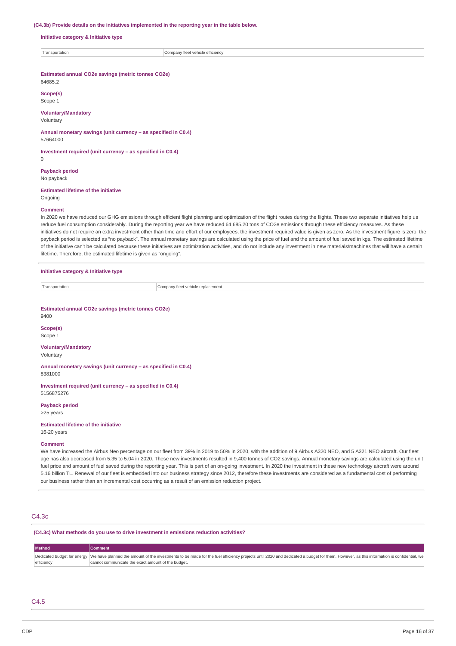#### **(C4.3b) Provide details on the initiatives implemented in the reporting year in the table below.**

**Initiative category & Initiative type**

| Transportation | :ienc<br>≅le ettic<br>าลทง<br>venio<br>''^^ |
|----------------|---------------------------------------------|

**Estimated annual CO2e savings (metric tonnes CO2e)** 64685.2

**Scope(s)** Scope 1

### **Voluntary/Mandatory**

Voluntary

0

**Annual monetary savings (unit currency – as specified in C0.4)** 57664000

**Investment required (unit currency – as specified in C0.4)**

**Payback period** No payback

**Estimated lifetime of the initiative**

## Ongoing **Comment**

In 2020 we have reduced our GHG emissions through efficient flight planning and optimization of the flight routes during the flights. These two separate initiatives help us reduce fuel consumption considerably. During the reporting year we have reduced 64,685.20 tons of CO2e emissions through these efficiency measures. As these initiatives do not require an extra investment other than time and effort of our employees, the investment required value is given as zero. As the investment figure is zero, the payback period is selected as "no payback". The annual monetary savings are calculated using the price of fuel and the amount of fuel saved in kgs. The estimated lifetime of the initiative can't be calculated because these initiatives are optimization activities, and do not include any investment in new materials/machines that will have a certain lifetime. Therefore, the estimated lifetime is given as "ongoing".

### **Initiative category & Initiative type**

| ransportation | t vehicle replacement<br>Company<br>TIQQT<br>11.1.1<br>.<br>____<br>. |
|---------------|-----------------------------------------------------------------------|

**Estimated annual CO2e savings (metric tonnes CO2e)** 9400

**Scope(s)** Scope 1

### **Voluntary/Mandatory**

Voluntary

**Annual monetary savings (unit currency – as specified in C0.4)** 8381000

**Investment required (unit currency – as specified in C0.4)** 5156875276

**Payback period** >25 years

**Estimated lifetime of the initiative**

16-20 years

#### **Comment**

We have increased the Airbus Neo percentage on our fleet from 39% in 2019 to 50% in 2020, with the addition of 9 Airbus A320 NEO, and 5 A321 NEO aircraft. Our fleet age has also decreased from 5.35 to 5.04 in 2020. These new investments resulted in 9,400 tonnes of CO2 savings. Annual monetary savings are calculated using the unit fuel price and amount of fuel saved during the reporting year. This is part of an on-going investment. In 2020 the investment in these new technology aircraft were around 5.16 billion TL. Renewal of our fleet is embedded into our business strategy since 2012, therefore these investments are considered as a fundamental cost of performing our business rather than an incremental cost occurring as a result of an emission reduction project.

## C4.3c

**(C4.3c) What methods do you use to drive investment in emissions reduction activities?**

| <b>Method</b> | Comment                                                                                                                                                                                                             |
|---------------|---------------------------------------------------------------------------------------------------------------------------------------------------------------------------------------------------------------------|
|               | Dedicated budget for energy  We have planned the amount of the investments to be made for the fuel efficiency projects until 2020 and dedicated a budget for them. However, as this information is confidential, we |
| efficiency    | cannot communicate the exact amount of the budget.                                                                                                                                                                  |

## $C<sub>4</sub>5$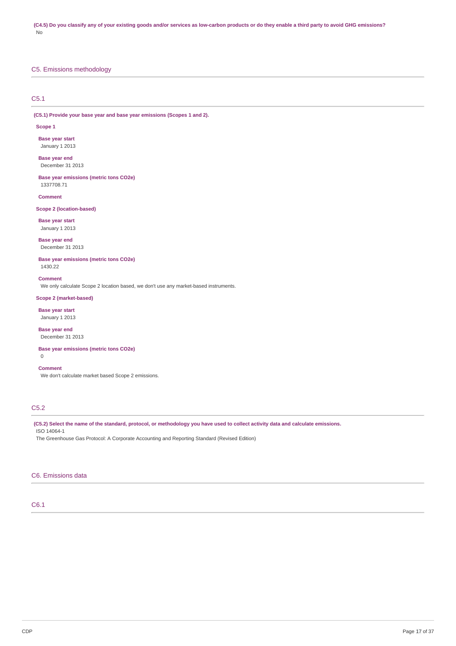## C5. Emissions methodology

## C5.1

**(C5.1) Provide your base year and base year emissions (Scopes 1 and 2).**

### **Scope 1**

**Base year start** January 1 2013

**Base year end** December 31 2013

**Base year emissions (metric tons CO2e)** 1337708.71

**Comment**

### **Scope 2 (location-based)**

**Base year start** January 1 2013

**Base year end** December 31 2013

**Base year emissions (metric tons CO2e)** 1430.22

**Comment** We only calculate Scope 2 location based, we don't use any market-based instruments.

## **Scope 2 (market-based)**

**Base year start** January 1 2013

**Base year end** December 31 2013

**Base year emissions (metric tons CO2e)**  $\Omega$ 

**Comment** We don't calculate market based Scope 2 emissions.

## C5.2

(C5.2) Select the name of the standard, protocol, or methodology you have used to collect activity data and calculate emissions. ISO 14064-1

The Greenhouse Gas Protocol: A Corporate Accounting and Reporting Standard (Revised Edition)

## C6. Emissions data

## C6.1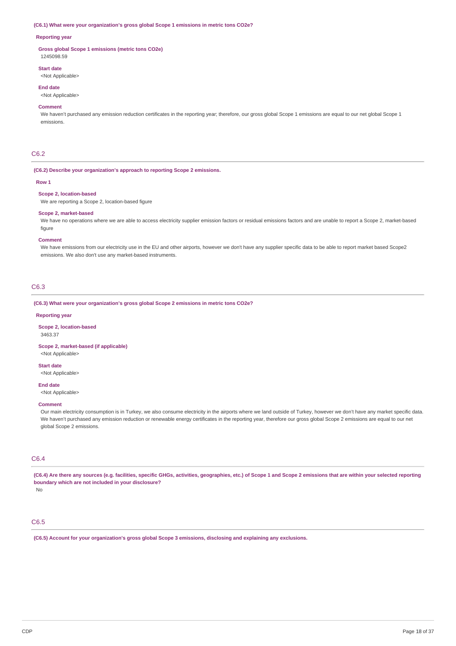#### **(C6.1) What were your organization's gross global Scope 1 emissions in metric tons CO2e?**

### **Reporting year**

**Gross global Scope 1 emissions (metric tons CO2e)** 1245098.59

## **Start date**

<Not Applicable>

### **End date**

<Not Applicable>

### **Comment**

We haven't purchased any emission reduction certificates in the reporting year; therefore, our gross global Scope 1 emissions are equal to our net global Scope 1 emissions.

### C6.2

### **(C6.2) Describe your organization's approach to reporting Scope 2 emissions.**

#### **Row 1**

### **Scope 2, location-based**

We are reporting a Scope 2, location-based figure

## **Scope 2, market-based**

We have no operations where we are able to access electricity supplier emission factors or residual emissions factors and are unable to report a Scope 2, market-based figure

#### **Comment**

We have emissions from our electricity use in the EU and other airports, however we don't have any supplier specific data to be able to report market based Scope2 emissions. We also don't use any market-based instruments.

### C6.3

**(C6.3) What were your organization's gross global Scope 2 emissions in metric tons CO2e?**

#### **Reporting year**

**Scope 2, location-based** 3463.37

## **Scope 2, market-based (if applicable)**

<Not Applicable>

## **Start date**

<Not Applicable>

## **End date**

<Not Applicable>

### **Comment**

Our main electricity consumption is in Turkey, we also consume electricity in the airports where we land outside of Turkey, however we don't have any market specific data. We haven't purchased any emission reduction or renewable energy certificates in the reporting year, therefore our gross global Scope 2 emissions are equal to our net global Scope 2 emissions.

## C6.4

(C6.4) Are there any sources (e.g. facilities, specific GHGs, activities, geographies, etc.) of Scope 1 and Scope 2 emissions that are within your selected reporting **boundary which are not included in your disclosure?**

No

## C6.5

**(C6.5) Account for your organization's gross global Scope 3 emissions, disclosing and explaining any exclusions.**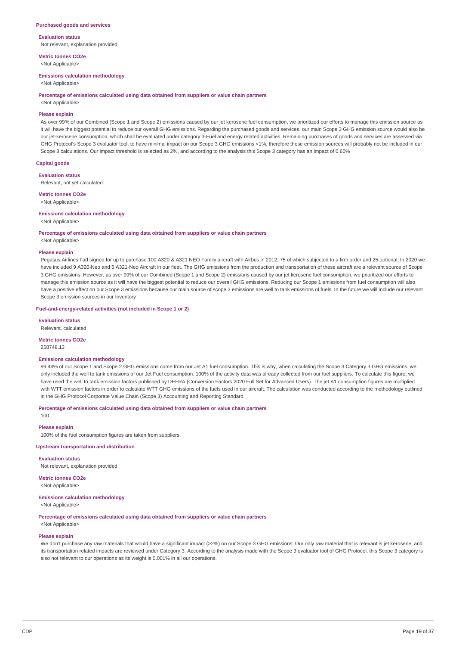### **Purchased goods and services**

**Evaluation status** Not relevant, explanation provided

**Metric tonnes CO2e** <Not Applicable>

### **Emissions calculation methodology**

<Not Applicable>

#### **Percentage of emissions calculated using data obtained from suppliers or value chain partners**

<Not Applicable>

### **Please explain**

As over 99% of our Combined (Scope 1 and Scope 2) emissions caused by our jet kerosene fuel consumption, we prioritized our efforts to manage this emission source as it will have the biggest potential to reduce our overall GHG emissions. Regarding the purchased goods and services, our main Scope 3 GHG emission source would also be our jet-kerosene consumption, which shall be evaluated under category 3-Fuel and energy related activities. Remaining purchases of goods and services are assessed via GHG Protocol's Scope 3 evaluator tool, to have minimal impact on our Scope 3 GHG emissions <1%, therefore these emission sources will probably not be included in our Scope 3 calculations. Our impact threshold is selected as 2%, and according to the analysis this Scope 3 category has an impact of 0.60%

## **Capital goods**

**Evaluation status**

Relevant, not yet calculated

### **Metric tonnes CO2e**

<Not Applicable>

#### **Emissions calculation methodology**

<Not Applicable>

#### **Percentage of emissions calculated using data obtained from suppliers or value chain partners** <Not Applicable>

#### **Please explain**

Pegasus Airlines had signed for up to purchase 100 A320 & A321 NEO Family aircraft with Airbus in 2012, 75 of which subjected to a firm order and 25 optional. In 2020 we have included 9 A320-Neo and 5 A321-Neo Aircraft in our fleet. The GHG emissions from the production and transportation of these aircraft are a relevant source of Scope 3 GHG emissions. However, as over 99% of our Combined (Scope 1 and Scope 2) emissions caused by our jet kerosene fuel consumption, we prioritized our efforts to manage this emission source as it will have the biggest potential to reduce our overall GHG emissions. Reducing our Scope 1 emissions from fuel consumption will also have a positive effect on our Scope 3 emissions because our main source of scope 3 emissions are well to tank emissions of fuels. In the future we will include our relevant Scope 3 emission sources in our Inventory

### **Fuel-and-energy-related activities (not included in Scope 1 or 2)**

**Evaluation status**

Relevant, calculated

## **Metric tonnes CO2e**

258748.13

### **Emissions calculation methodology**

99.44% of our Scope 1 and Scope 2 GHG emissions come from our Jet A1 fuel consumption. This is why, when calculating the Scope 3 Category 3 GHG emissions, we only included the well to tank emissions of our Jet Fuel consumption. 100% of the activity data was already collected from our fuel suppliers. To calculate this figure, we have used the well to tank emission factors published by DEFRA (Conversion Factors 2020 Full Set for Advanced Users). The jet A1 consumption figures are multiplied with WTT emission factors in order to calculate WTT GHG emissions of the fuels used in our aircraft. The calculation was conducted according to the methodology outlined in the GHG Protocol Corporate Value Chain (Scope 3) Accounting and Reporting Standard.

**Percentage of emissions calculated using data obtained from suppliers or value chain partners**

### **Please explain**

100

100% of the fuel consumption figures are taken from suppliers.

#### **Upstream transportation and distribution**

**Evaluation status**

Not relevant, explanation provided

**Metric tonnes CO2e** <Not Applicable>

### **Emissions calculation methodology**

<Not Applicable>

**Percentage of emissions calculated using data obtained from suppliers or value chain partners**

## <Not Applicable> **Please explain**

We don't purchase any raw materials that would have a significant impact (>2%) on our Scope 3 GHG emissions. Our only raw material that is relevant is jet kerosene, and its transportation related impacts are reviewed under Category 3. According to the analysis made with the Scope 3 evaluator tool of GHG Protocol, this Scope 3 category is also not relevant to our operations as its weight is 0.001% in all our operations.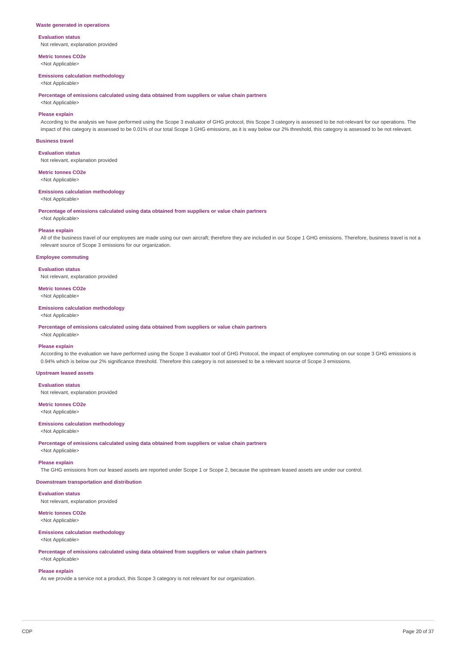### **Waste generated in operations**

### **Evaluation status**

Not relevant, explanation provided

**Metric tonnes CO2e** <Not Applicable>

#### **Emissions calculation methodology**

<Not Applicable>

### **Percentage of emissions calculated using data obtained from suppliers or value chain partners**

<Not Applicable>

### **Please explain**

According to the analysis we have performed using the Scope 3 evaluator of GHG protocol, this Scope 3 category is assessed to be not-relevant for our operations. The impact of this category is assessed to be 0.01% of our total Scope 3 GHG emissions, as it is way below our 2% threshold, this category is assessed to be not relevant.

### **Business travel**

**Evaluation status**

Not relevant, explanation provided

### **Metric tonnes CO2e**

<Not Applicable>

### **Emissions calculation methodology**

<Not Applicable>

**Percentage of emissions calculated using data obtained from suppliers or value chain partners**

<Not Applicable>

### **Please explain**

All of the business travel of our employees are made using our own aircraft; therefore they are included in our Scope 1 GHG emissions. Therefore, business travel is not a relevant source of Scope 3 emissions for our organization.

### **Employee commuting**

### **Evaluation status**

Not relevant, explanation provided

## **Metric tonnes CO2e**

<Not Applicable>

### **Emissions calculation methodology**

<Not Applicable>

**Percentage of emissions calculated using data obtained from suppliers or value chain partners**

# <Not Applicable>

**Please explain** According to the evaluation we have performed using the Scope 3 evaluator tool of GHG Protocol, the impact of employee commuting on our scope 3 GHG emissions is

0.94% which is below our 2% significance threshold. Therefore this category is not assessed to be a relevant source of Scope 3 emissions.

### **Upstream leased assets**

**Evaluation status**

Not relevant, explanation provided

#### **Metric tonnes CO2e** <Not Applicable>

## **Emissions calculation methodology**

## <Not Applicable>

**Percentage of emissions calculated using data obtained from suppliers or value chain partners**

<Not Applicable>

## **Please explain**

The GHG emissions from our leased assets are reported under Scope 1 or Scope 2, because the upstream leased assets are under our control.

## **Downstream transportation and distribution**

## **Evaluation status**

Not relevant, explanation provided

## **Metric tonnes CO2e**

<Not Applicable>

## **Emissions calculation methodology**

<Not Applicable>

**Percentage of emissions calculated using data obtained from suppliers or value chain partners**

## <Not Applicable>

## **Please explain**

As we provide a service not a product, this Scope 3 category is not relevant for our organization.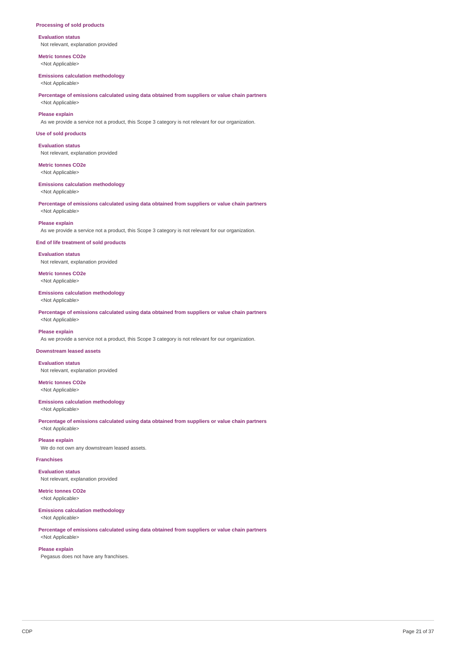### **Processing of sold products**

**Evaluation status** Not relevant, explanation provided

**Metric tonnes CO2e** <Not Applicable>

### **Emissions calculation methodology**

<Not Applicable>

### **Percentage of emissions calculated using data obtained from suppliers or value chain partners** <Not Applicable>

### **Please explain**

As we provide a service not a product, this Scope 3 category is not relevant for our organization.

### **Use of sold products**

**Evaluation status** Not relevant, explanation provided

## **Metric tonnes CO2e**

<Not Applicable>

### **Emissions calculation methodology**

<Not Applicable>

**Percentage of emissions calculated using data obtained from suppliers or value chain partners** <Not Applicable>

#### **Please explain**

As we provide a service not a product, this Scope 3 category is not relevant for our organization.

### **End of life treatment of sold products**

**Evaluation status** Not relevant, explanation provided

**Metric tonnes CO2e** <Not Applicable>

## **Emissions calculation methodology**

<Not Applicable>

**Percentage of emissions calculated using data obtained from suppliers or value chain partners** <Not Applicable>

### **Please explain**

As we provide a service not a product, this Scope 3 category is not relevant for our organization.

## **Downstream leased assets**

**Evaluation status**

Not relevant, explanation provided

### **Metric tonnes CO2e** <Not Applicable>

**Emissions calculation methodology**

<Not Applicable>

**Percentage of emissions calculated using data obtained from suppliers or value chain partners** <Not Applicable>

#### **Please explain**

We do not own any downstream leased assets.

## **Franchises**

**Evaluation status** Not relevant, explanation provided

## **Metric tonnes CO2e**

<Not Applicable>

### **Emissions calculation methodology** <Not Applicable>

**Percentage of emissions calculated using data obtained from suppliers or value chain partners**

## <Not Applicable> **Please explain**

Pegasus does not have any franchises.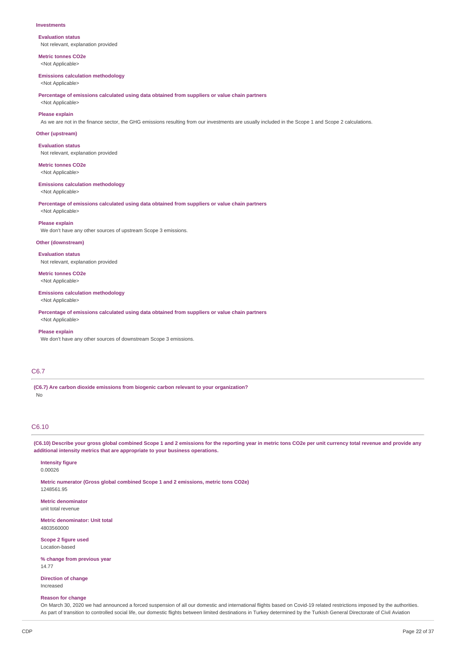#### **Investments**

**Evaluation status** Not relevant, explanation provided

**Metric tonnes CO2e** <Not Applicable>

#### **Emissions calculation methodology**

<Not Applicable>

**Percentage of emissions calculated using data obtained from suppliers or value chain partners**

<Not Applicable>

## **Please explain**

As we are not in the finance sector, the GHG emissions resulting from our investments are usually included in the Scope 1 and Scope 2 calculations.

### **Other (upstream)**

**Evaluation status** Not relevant, explanation provided

**Metric tonnes CO2e**

<Not Applicable>

### **Emissions calculation methodology**

<Not Applicable>

**Percentage of emissions calculated using data obtained from suppliers or value chain partners**

## <Not Applicable> **Please explain**

We don't have any other sources of upstream Scope 3 emissions.

#### **Other (downstream)**

**Evaluation status**

Not relevant, explanation provided

### **Metric tonnes CO2e** <Not Applicable>

## **Emissions calculation methodology**

<Not Applicable>

**Percentage of emissions calculated using data obtained from suppliers or value chain partners**

## <Not Applicable> **Please explain**

We don't have any other sources of downstream Scope 3 emissions.

## C6.7

**(C6.7) Are carbon dioxide emissions from biogenic carbon relevant to your organization?** No

## C6.10

(C6.10) Describe your gross global combined Scope 1 and 2 emissions for the reporting year in metric tons CO2e per unit currency total revenue and provide any **additional intensity metrics that are appropriate to your business operations.**

**Intensity figure** 0.00026

1248561.95

**Metric numerator (Gross global combined Scope 1 and 2 emissions, metric tons CO2e)**

**Metric denominator** unit total revenue

**Metric denominator: Unit total** 4803560000

**Scope 2 figure used** Location-based

**% change from previous year** 14.77

**Direction of change** Increased

### **Reason for change**

On March 30, 2020 we had announced a forced suspension of all our domestic and international flights based on Covid-19 related restrictions imposed by the authorities. As part of transition to controlled social life, our domestic flights between limited destinations in Turkey determined by the Turkish General Directorate of Civil Aviation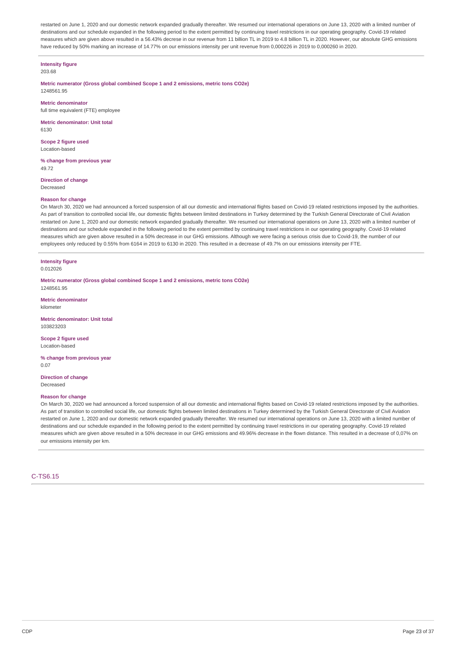restarted on June 1, 2020 and our domestic network expanded gradually thereafter. We resumed our international operations on June 13, 2020 with a limited number of destinations and our schedule expanded in the following period to the extent permitted by continuing travel restrictions in our operating geography. Covid-19 related measures which are given above resulted in a 56.43% decrese in our revenue from 11 billion TL in 2019 to 4.8 billion TL in 2020. However, our absolute GHG emissions have reduced by 50% marking an increase of 14.77% on our emissions intensity per unit revenue from 0,000226 in 2019 to 0,000260 in 2020.

### **Intensity figure**

203.68

**Metric numerator (Gross global combined Scope 1 and 2 emissions, metric tons CO2e)** 1248561.95

**Metric denominator**

full time equivalent (FTE) employee

**Metric denominator: Unit total** 6130

**Scope 2 figure used** Location-based

**% change from previous year** 49.72

**Direction of change** Decreased

### **Reason for change**

On March 30, 2020 we had announced a forced suspension of all our domestic and international flights based on Covid-19 related restrictions imposed by the authorities. As part of transition to controlled social life, our domestic flights between limited destinations in Turkey determined by the Turkish General Directorate of Civil Aviation restarted on June 1, 2020 and our domestic network expanded gradually thereafter. We resumed our international operations on June 13, 2020 with a limited number of destinations and our schedule expanded in the following period to the extent permitted by continuing travel restrictions in our operating geography. Covid-19 related measures which are given above resulted in a 50% decrease in our GHG emissions. Although we were facing a serious crisis due to Covid-19, the number of our employees only reduced by 0.55% from 6164 in 2019 to 6130 in 2020. This resulted in a decrease of 49.7% on our emissions intensity per FTE.

#### **Intensity figure** 0.012026

**Metric numerator (Gross global combined Scope 1 and 2 emissions, metric tons CO2e)** 1248561.95

**Metric denominator**

kilometer

**Metric denominator: Unit total** 103823203

**Scope 2 figure used** Location-based

**% change from previous year** 0.07

**Direction of change** Decreased

#### **Reason for change**

On March 30, 2020 we had announced a forced suspension of all our domestic and international flights based on Covid-19 related restrictions imposed by the authorities. As part of transition to controlled social life, our domestic flights between limited destinations in Turkey determined by the Turkish General Directorate of Civil Aviation restarted on June 1, 2020 and our domestic network expanded gradually thereafter. We resumed our international operations on June 13, 2020 with a limited number of destinations and our schedule expanded in the following period to the extent permitted by continuing travel restrictions in our operating geography. Covid-19 related measures which are given above resulted in a 50% decrease in our GHG emissions and 49.96% decrease in the flown distance. This resulted in a decrease of 0,07% on our emissions intensity per km.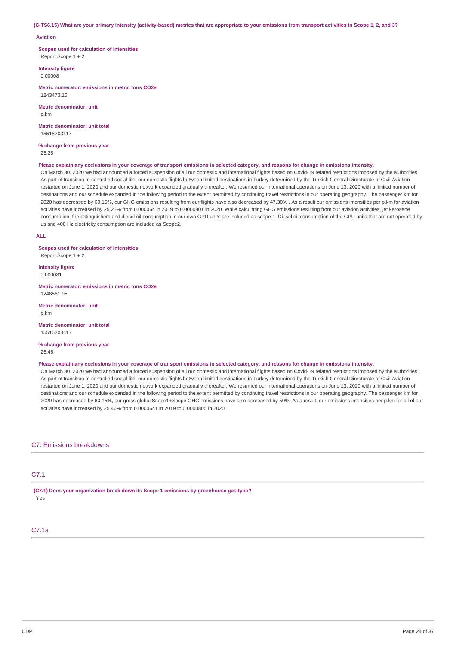(C-TS6.15) What are your primary intensity (activity-based) metrics that are appropriate to your emissions from transport activities in Scope 1, 2, and 3?

### **Aviation**

**Scopes used for calculation of intensities** Report Scope 1 + 2

**Intensity figure** 0.00008

**Metric numerator: emissions in metric tons CO2e** 1243473.16

**Metric denominator: unit** p.km

**Metric denominator: unit total** 15515203417

**% change from previous year** 25.25

#### Please explain any exclusions in your coverage of transport emissions in selected category, and reasons for change in emissions intensity.

On March 30, 2020 we had announced a forced suspension of all our domestic and international flights based on Covid-19 related restrictions imposed by the authorities. As part of transition to controlled social life, our domestic flights between limited destinations in Turkey determined by the Turkish General Directorate of Civil Aviation restarted on June 1, 2020 and our domestic network expanded gradually thereafter. We resumed our international operations on June 13, 2020 with a limited number of destinations and our schedule expanded in the following period to the extent permitted by continuing travel restrictions in our operating geography. The passenger km for 2020 has decreased by 60.15%, our GHG emissions resulting from our flights have also decreased by 47.30% . As a result our emissions intensities per p.km for aviation activities have increased by 25.25% from 0.000064 in 2019 to 0.0000801 in 2020. While calculating GHG emissions resulting from our aviation activities, jet kerosene consumption, fire extinguishers and diesel oil consumption in our own GPU units are included as scope 1. Diesel oil consumption of the GPU units that are not operated by us and 400 Hz electricity consumption are included as Scope2.

### **ALL**

**Scopes used for calculation of intensities** Report Scope 1 + 2

**Intensity figure** 0.000081

**Metric numerator: emissions in metric tons CO2e** 1248561.95

**Metric denominator: unit** p.km

**Metric denominator: unit total** 15515203417

**% change from previous year** 25.46

Please explain any exclusions in your coverage of transport emissions in selected category, and reasons for change in emissions intensity.

On March 30, 2020 we had announced a forced suspension of all our domestic and international flights based on Covid-19 related restrictions imposed by the authorities. As part of transition to controlled social life, our domestic flights between limited destinations in Turkey determined by the Turkish General Directorate of Civil Aviation restarted on June 1, 2020 and our domestic network expanded gradually thereafter. We resumed our international operations on June 13, 2020 with a limited number of destinations and our schedule expanded in the following period to the extent permitted by continuing travel restrictions in our operating geography. The passenger km for 2020 has decreased by 60.15%, our gross global Scope1+Scope GHG emissions have also decreased by 50%. As a result, our emissions intensities per p.km for all of our activities have increased by 25.46% from 0.0000641 in 2019 to 0.0000805 in 2020.

### C7. Emissions breakdowns

## C7.1

**(C7.1) Does your organization break down its Scope 1 emissions by greenhouse gas type?** Yes

## C7.1a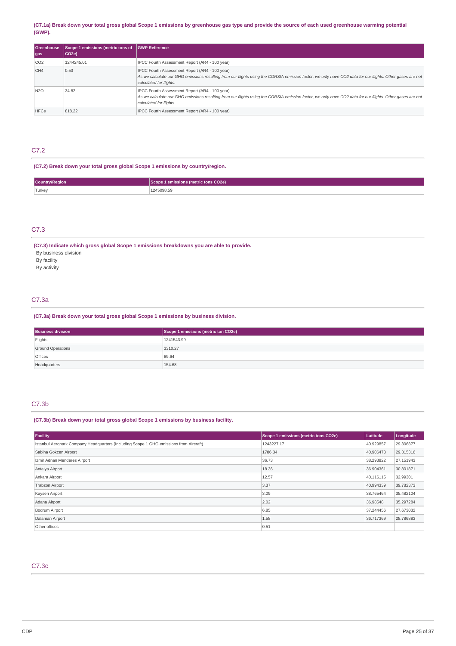### (C7.1a) Break down your total gross global Scope 1 emissions by greenhouse gas type and provide the source of each used greenhouse warming potential **(GWP).**

| <b>Greenhouse</b><br>gas | Scope 1 emissions (metric tons of<br>CO <sub>2e</sub> | <b>GWP Reference</b>                                                                                                                                                                                                                   |
|--------------------------|-------------------------------------------------------|----------------------------------------------------------------------------------------------------------------------------------------------------------------------------------------------------------------------------------------|
| CO <sub>2</sub>          | 1244245.01                                            | IPCC Fourth Assessment Report (AR4 - 100 year)                                                                                                                                                                                         |
| CH4                      | 0.53                                                  | IPCC Fourth Assessment Report (AR4 - 100 year)<br>As we calculate our GHG emissions resulting from our flights using the CORSIA emission factor, we only have CO2 data for our flights. Other gases are not<br>calculated for flights. |
| <b>N2O</b>               | 34.82                                                 | IPCC Fourth Assessment Report (AR4 - 100 year)<br>As we calculate our GHG emissions resulting from our flights using the CORSIA emission factor, we only have CO2 data for our flights. Other gases are not<br>calculated for flights. |
| <b>HFCs</b>              | 818.22                                                | IPCC Fourth Assessment Report (AR4 - 100 year)                                                                                                                                                                                         |

## C7.2

## **(C7.2) Break down your total gross global Scope 1 emissions by country/region.**

| <b>Country/Region</b> | CO <sub>2e</sub> )<br><u>ಿಂ (metric tons ರಿಲ್ಲ</u> |
|-----------------------|----------------------------------------------------|
| Turkey                | 5098.55                                            |

## C7.3

**(C7.3) Indicate which gross global Scope 1 emissions breakdowns you are able to provide.** By business division By facility By activity

## C7.3a

### **(C7.3a) Break down your total gross global Scope 1 emissions by business division.**

| <b>Business division</b> | Scope 1 emissions (metric ton CO2e) |
|--------------------------|-------------------------------------|
| Flights                  | 1241543.99                          |
| <b>Ground Operations</b> | 3310.27                             |
| <b>Offices</b>           | 89.64                               |
| Headquarters             | 154.68                              |

## C7.3b

**(C7.3b) Break down your total gross global Scope 1 emissions by business facility.**

| Facility                                                                               | Scope 1 emissions (metric tons CO2e) | Latitude  | Longitude |
|----------------------------------------------------------------------------------------|--------------------------------------|-----------|-----------|
| Istanbul Aeropark Company Headquarters (Including Scope 1 GHG emissions from Aircraft) | 1243227.17                           | 40.929857 | 29.306877 |
| Sabiha Gokcen Airport                                                                  | 1786.34                              | 40.906473 | 29.315316 |
| Izmir Adnan Menderes Airport                                                           | 36.73                                | 38.293822 | 27.151943 |
| Antalya Airport                                                                        | 18.36                                | 36.904361 | 30.801871 |
| Ankara Airport                                                                         | 12.57                                | 40.116115 | 32.99301  |
| <b>Trabzon Airport</b>                                                                 | 3.37                                 | 40.994339 | 39.782373 |
| Kayseri Airport                                                                        | 3.09                                 | 38.765464 | 35.482104 |
| Adana Airport                                                                          | 2.02                                 | 36,98548  | 35.297284 |
| Bodrum Airport                                                                         | 6.85                                 | 37.244456 | 27.673032 |
| Dalaman Airport                                                                        | 1.58                                 | 36.717369 | 28,786883 |
| Other offices                                                                          | 0.51                                 |           |           |

## C7.3c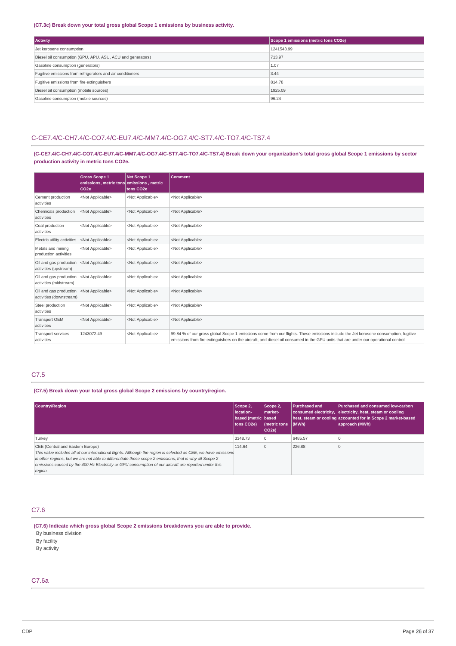### **(C7.3c) Break down your total gross global Scope 1 emissions by business activity.**

| <b>Activity</b>                                            | Scope 1 emissions (metric tons CO2e) |  |
|------------------------------------------------------------|--------------------------------------|--|
| Jet kerosene consumption                                   | 1241543.99                           |  |
| Diesel oil consumption (GPU, APU, ASU, ACU and generators) | 713.97                               |  |
| Gasoline consumption (generators)                          | 1.07                                 |  |
| Fugitive emissions from refrigerators and air conditioners | 3.44                                 |  |
| Fugitive emissions from fire extinguishers                 | 814.78                               |  |
| Diesel oil consumption (mobile sources)                    | 1925.09                              |  |
| Gasoline consumption (mobile sources)                      | 96.24                                |  |

## C-CE7.4/C-CH7.4/C-CO7.4/C-EU7.4/C-MM7.4/C-OG7.4/C-ST7.4/C-TO7.4/C-TS7.4

(C-CE7.4/C-CH7.4/C-CO7.4/C-EU7.4/C-MM7.4/C-OG7.4/C-ST7.4/C-TO7.4/C-TS7.4) Break down your organization's total gross global Scope 1 emissions by sector **production activity in metric tons CO2e.**

|                                                   | <b>Gross Scope 1</b><br>emissions, metric tons emissions, metric<br>CO <sub>2e</sub> | Net Scope 1<br>tons CO <sub>2</sub> e | <b>Comment</b>                                                                                                                                                                                                                                                             |
|---------------------------------------------------|--------------------------------------------------------------------------------------|---------------------------------------|----------------------------------------------------------------------------------------------------------------------------------------------------------------------------------------------------------------------------------------------------------------------------|
| Cement production<br>activities                   | <not applicable=""></not>                                                            | <not applicable=""></not>             | <not applicable=""></not>                                                                                                                                                                                                                                                  |
| Chemicals production<br>activities                | <not applicable=""></not>                                                            | <not applicable=""></not>             | <not applicable=""></not>                                                                                                                                                                                                                                                  |
| Coal production<br>activities                     | <not applicable=""></not>                                                            | <not applicable=""></not>             | <not applicable=""></not>                                                                                                                                                                                                                                                  |
| Electric utility activities                       | <not applicable=""></not>                                                            | <not applicable=""></not>             | <not applicable=""></not>                                                                                                                                                                                                                                                  |
| Metals and mining<br>production activities        | <not applicable=""></not>                                                            | <not applicable=""></not>             | <not applicable=""></not>                                                                                                                                                                                                                                                  |
| Oil and gas production<br>activities (upstream)   | <not applicable=""></not>                                                            | <not applicable=""></not>             | <not applicable=""></not>                                                                                                                                                                                                                                                  |
| Oil and gas production<br>activities (midstream)  | <not applicable=""></not>                                                            | <not applicable=""></not>             | <not applicable=""></not>                                                                                                                                                                                                                                                  |
| Oil and gas production<br>activities (downstream) | <not applicable=""></not>                                                            | <not applicable=""></not>             | <not applicable=""></not>                                                                                                                                                                                                                                                  |
| Steel production<br>activities                    | <not applicable=""></not>                                                            | <not applicable=""></not>             | <not applicable=""></not>                                                                                                                                                                                                                                                  |
| <b>Transport OEM</b><br>activities                | <not applicable=""></not>                                                            | <not applicable=""></not>             | <not applicable=""></not>                                                                                                                                                                                                                                                  |
| <b>Transport services</b><br>activities           | 1243072.49                                                                           | <not applicable=""></not>             | 99.84 % of our gross global Scope 1 emissions come from our flights. These emissions include the Jet kerosene consumption, fugitive<br>emissions from fire extinguishers on the aircraft, and diesel oil consumed in the GPU units that are under our operational control. |

## C7.5

**(C7.5) Break down your total gross global Scope 2 emissions by country/region.**

| <b>Country/Region</b>                                                                                                                                                                                                                                                                                                                                                              | Scope 2,<br>location-<br>based (metric based<br>tons CO2e) | Scope 2,<br>Imarket-<br>Imetric tons<br>$ CO2e\rangle$ | <b>Purchased and</b><br>(MWh) | Purchased and consumed low-carbon<br>consumed electricity, electricity, heat, steam or cooling<br>heat, steam or cooling accounted for in Scope 2 market-based<br>approach (MWh) |
|------------------------------------------------------------------------------------------------------------------------------------------------------------------------------------------------------------------------------------------------------------------------------------------------------------------------------------------------------------------------------------|------------------------------------------------------------|--------------------------------------------------------|-------------------------------|----------------------------------------------------------------------------------------------------------------------------------------------------------------------------------|
| Turkey                                                                                                                                                                                                                                                                                                                                                                             | 3348.73                                                    | 10                                                     | 6485.57                       |                                                                                                                                                                                  |
| CEE (Central and Eastern Europe)<br>This value includes all of our international flights. Although the region is selected as CEE, we have emissions<br>in other regions, but we are not able to differentiate those scope 2 emissions, that is why all Scope 2<br>emissions caused by the 400 Hz Electricity or GPU consumption of our aircraft are reported under this<br>region. | 114.64                                                     | $\overline{0}$                                         | 226.88                        |                                                                                                                                                                                  |

## C7.6

**(C7.6) Indicate which gross global Scope 2 emissions breakdowns you are able to provide.**

By business division

By facility By activity

C7.6a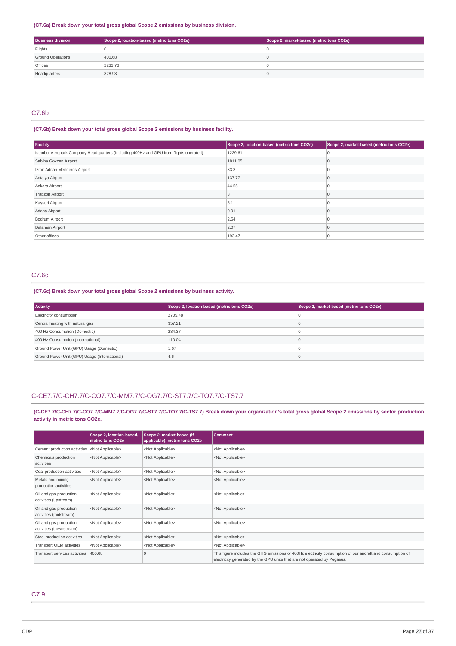### **(C7.6a) Break down your total gross global Scope 2 emissions by business division.**

| <b>Business division</b> | Scope 2, location-based (metric tons CO2e) | Scope 2, market-based (metric tons CO2e) |
|--------------------------|--------------------------------------------|------------------------------------------|
| Flights                  |                                            |                                          |
| <b>Ground Operations</b> | 400.68                                     |                                          |
| <b>Offices</b>           | 2233.76                                    |                                          |
| Headquarters             | 828.93                                     |                                          |

## C7.6b

## **(C7.6b) Break down your total gross global Scope 2 emissions by business facility.**

| Facility                                                                               | Scope 2, location-based (metric tons CO2e) | Scope 2, market-based (metric tons CO2e) |
|----------------------------------------------------------------------------------------|--------------------------------------------|------------------------------------------|
| Istanbul Aeropark Company Headquarters (Including 400Hz and GPU from flights operated) | 1229.61                                    |                                          |
| Sabiha Gokcen Airport                                                                  | 1811.05                                    |                                          |
| Izmir Adnan Menderes Airport                                                           | 33.3                                       |                                          |
| Antalya Airport                                                                        | 137.77                                     |                                          |
| Ankara Airport                                                                         | 44.55                                      |                                          |
| <b>Trabzon Airport</b>                                                                 |                                            |                                          |
| Kayseri Airport                                                                        | 5.1                                        |                                          |
| Adana Airport                                                                          | 0.91                                       |                                          |
| Bodrum Airport                                                                         | 2.54                                       |                                          |
| Dalaman Airport                                                                        | 2.07                                       |                                          |
| Other offices                                                                          | 193.47                                     |                                          |

## C7.6c

### **(C7.6c) Break down your total gross global Scope 2 emissions by business activity.**

| <b>Activity</b>                               | Scope 2, location-based (metric tons CO2e) | Scope 2, market-based (metric tons CO2e) |
|-----------------------------------------------|--------------------------------------------|------------------------------------------|
| Electricity consumption                       | 2705.48                                    |                                          |
| Central heating with natural gas              | 357.21                                     |                                          |
| 400 Hz Consumption (Domestic)                 | 284.37                                     |                                          |
| 400 Hz Consumption (International)            | 110.04                                     |                                          |
| Ground Power Unit (GPU) Usage (Domestic)      | 1.67                                       |                                          |
| Ground Power Unit (GPU) Usage (International) | 4.6                                        |                                          |

### C-CE7.7/C-CH7.7/C-CO7.7/C-MM7.7/C-OG7.7/C-ST7.7/C-TO7.7/C-TS7.7

(C-CE7.7/C-CH7.7/C-CO7.7/C-MM7.7/C-OG7.7/C-ST7.7/C-TO7.7/C-TS7.7) Break down your organization's total gross global Scope 2 emissions by sector production **activity in metric tons CO2e.**

|                                                   | Scope 2, location-based,<br>metric tons CO2e | Scope 2, market-based (if<br>applicable), metric tons CO2e | <b>Comment</b>                                                                                                                                                                         |
|---------------------------------------------------|----------------------------------------------|------------------------------------------------------------|----------------------------------------------------------------------------------------------------------------------------------------------------------------------------------------|
| Cement production activities                      | <not applicable=""></not>                    | <not applicable=""></not>                                  | <not applicable=""></not>                                                                                                                                                              |
| Chemicals production<br>activities                | <not applicable=""></not>                    | <not applicable=""></not>                                  | <not applicable=""></not>                                                                                                                                                              |
| Coal production activities                        | <not applicable=""></not>                    | <not applicable=""></not>                                  | <not applicable=""></not>                                                                                                                                                              |
| Metals and mining<br>production activities        | <not applicable=""></not>                    | <not applicable=""></not>                                  | <not applicable=""></not>                                                                                                                                                              |
| Oil and gas production<br>activities (upstream)   | <not applicable=""></not>                    | <not applicable=""></not>                                  | <not applicable=""></not>                                                                                                                                                              |
| Oil and gas production<br>activities (midstream)  | <not applicable=""></not>                    | <not applicable=""></not>                                  | <not applicable=""></not>                                                                                                                                                              |
| Oil and gas production<br>activities (downstream) | <not applicable=""></not>                    | <not applicable=""></not>                                  | <not applicable=""></not>                                                                                                                                                              |
| Steel production activities                       | <not applicable=""></not>                    | <not applicable=""></not>                                  | <not applicable=""></not>                                                                                                                                                              |
| Transport OEM activities                          | <not applicable=""></not>                    | <not applicable=""></not>                                  | <not applicable=""></not>                                                                                                                                                              |
| Transport services activities                     | 400.68                                       |                                                            | This figure includes the GHG emissions of 400Hz electricity consumption of our aircraft and consumption of<br>electricity generated by the GPU units that are not operated by Pegasus. |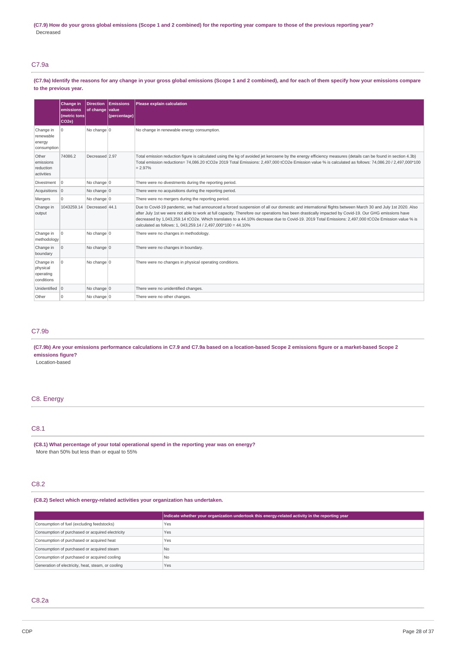(C7.9) How do your gross global emissions (Scope 1 and 2 combined) for the reporting year compare to those of the previous reporting year? Decreased

## C7.9a

(C7.9a) Identify the reasons for any change in your gross global emissions (Scope 1 and 2 combined), and for each of them specify how your emissions compare **to the previous year.**

|                                                  | Change in<br>emissions<br>(metric tons<br>CO <sub>2e</sub> ) | <b>Direction</b><br>of change value | Emissions<br>(percentage) | Please explain calculation                                                                                                                                                                                                                                                                                                                                                                                                                                                                                                          |
|--------------------------------------------------|--------------------------------------------------------------|-------------------------------------|---------------------------|-------------------------------------------------------------------------------------------------------------------------------------------------------------------------------------------------------------------------------------------------------------------------------------------------------------------------------------------------------------------------------------------------------------------------------------------------------------------------------------------------------------------------------------|
| Change in<br>renewable<br>energy<br>consumption  | 0                                                            | No change $ 0$                      |                           | No change in renewable energy consumption.                                                                                                                                                                                                                                                                                                                                                                                                                                                                                          |
| Other<br>emissions<br>reduction<br>activities    | 74086.2                                                      | Decreased 2.97                      |                           | Total emission reduction figure is calculated using the kg of avoided jet kerosene by the energy efficiency measures (details can be found in section 4.3b)<br>Total emission reductions= 74,086.20 tCO2e 2019 Total Emissions: 2,497,000 tCO2e Emission value % is calculated as follows: 74,086.20 / 2,497,000*100<br>$= 2.97%$                                                                                                                                                                                                   |
| Divestment                                       | $\Omega$                                                     | No change 0                         |                           | There were no divestments during the reporting period.                                                                                                                                                                                                                                                                                                                                                                                                                                                                              |
| Acquisitions 0                                   |                                                              | No change 0                         |                           | There were no acquisitions during the reporting period.                                                                                                                                                                                                                                                                                                                                                                                                                                                                             |
| Mergers                                          | $\Omega$                                                     | No change $ 0$                      |                           | There were no mergers during the reporting period.                                                                                                                                                                                                                                                                                                                                                                                                                                                                                  |
| Change in<br>output                              | 1043259.14                                                   | Decreased 44.1                      |                           | Due to Covid-19 pandemic, we had announced a forced suspension of all our domestic and international flights between March 30 and July 1st 2020. Also<br>after July 1st we were not able to work at full capacity. Therefore our operations has been drastically impacted by Covid-19. Our GHG emissions have<br>decreased by 1,043,259.14 tCO2e. Which translates to a 44.10% decrease due to Covid-19. 2019 Total Emissions: 2,497,000 tCO2e Emission value % is<br>calculated as follows: 1, 043,259.14 / 2,497,000*100 = 44.10% |
| Change in<br>methodology                         | $\mathbf 0$                                                  | No change 0                         |                           | There were no changes in methodology.                                                                                                                                                                                                                                                                                                                                                                                                                                                                                               |
| Change in<br>boundary                            | $\mathbf 0$                                                  | No change $ 0$                      |                           | There were no changes in boundary.                                                                                                                                                                                                                                                                                                                                                                                                                                                                                                  |
| Change in<br>physical<br>operating<br>conditions | $\Omega$                                                     | No change $ 0$                      |                           | There were no changes in physical operating conditions.                                                                                                                                                                                                                                                                                                                                                                                                                                                                             |
| Unidentified 0                                   |                                                              | No change $ 0$                      |                           | There were no unidentified changes.                                                                                                                                                                                                                                                                                                                                                                                                                                                                                                 |
| Other                                            | $\Omega$                                                     | No change 0                         |                           | There were no other changes.                                                                                                                                                                                                                                                                                                                                                                                                                                                                                                        |

## C7.9b

(C7.9b) Are your emissions performance calculations in C7.9 and C7.9a based on a location-based Scope 2 emissions figure or a market-based Scope 2 **emissions figure?**

Location-based

## C8. Energy

### C8.1

**(C8.1) What percentage of your total operational spend in the reporting year was on energy?** More than 50% but less than or equal to 55%

## C8.2

**(C8.2) Select which energy-related activities your organization has undertaken.**

|                                                    | Indicate whether your organization undertook this energy-related activity in the reporting year |
|----------------------------------------------------|-------------------------------------------------------------------------------------------------|
| Consumption of fuel (excluding feedstocks)         | Yes                                                                                             |
| Consumption of purchased or acquired electricity   | Yes                                                                                             |
| Consumption of purchased or acquired heat          | Yes                                                                                             |
| Consumption of purchased or acquired steam         | N <sub>o</sub>                                                                                  |
| Consumption of purchased or acquired cooling       | N <sub>o</sub>                                                                                  |
| Generation of electricity, heat, steam, or cooling | Yes                                                                                             |

## C8.2a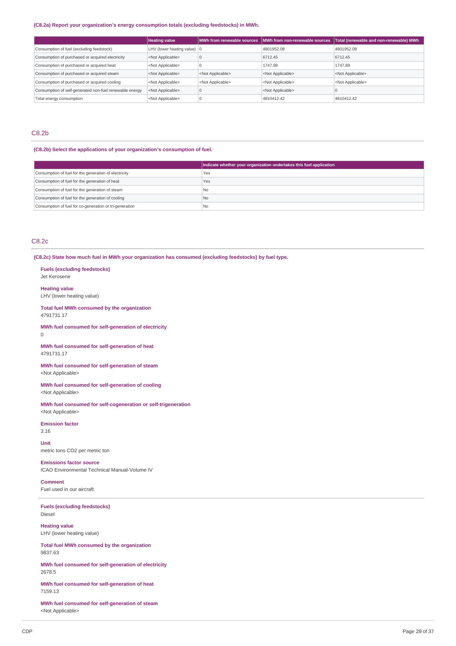### **(C8.2a) Report your organization's energy consumption totals (excluding feedstocks) in MWh.**

|                                                         | <b>Heating value</b>                  | MWh from renewable sources | MWh from non-renewable sources | Total (renewable and non-renewable) MWh |
|---------------------------------------------------------|---------------------------------------|----------------------------|--------------------------------|-----------------------------------------|
| Consumption of fuel (excluding feedstock)               | LHV (lower heating value) $ 0\rangle$ |                            | 4801952.08                     | 4801952.08                              |
| Consumption of purchased or acquired electricity        | <not applicable=""></not>             |                            | 6712.45                        | 6712.45                                 |
| Consumption of purchased or acquired heat               | <not applicable=""></not>             |                            | 1747.89                        | 1747.89                                 |
| Consumption of purchased or acquired steam              | <not applicable=""></not>             | <not applicable=""></not>  | <not applicable=""></not>      | <not applicable=""></not>               |
| Consumption of purchased or acquired cooling            | <not applicable=""></not>             | <not applicable=""></not>  | <not applicable=""></not>      | <not applicable=""></not>               |
| Consumption of self-generated non-fuel renewable energy | <not applicable=""></not>             |                            | <not applicable=""></not>      |                                         |
| Total energy consumption                                | <not applicable=""></not>             |                            | 4810412.42                     | 4810412.42                              |

## C8.2b

## **(C8.2b) Select the applications of your organization's consumption of fuel.**

|                                                         | Indicate whether your organization undertakes this fuel application |
|---------------------------------------------------------|---------------------------------------------------------------------|
| Consumption of fuel for the generation of electricity   | Yes                                                                 |
| Consumption of fuel for the generation of heat          | Yes                                                                 |
| Consumption of fuel for the generation of steam         | l No                                                                |
| Consumption of fuel for the generation of cooling       | No.                                                                 |
| Consumption of fuel for co-generation or tri-generation | l Nc                                                                |

## C8.2c

0

**(C8.2c) State how much fuel in MWh your organization has consumed (excluding feedstocks) by fuel type.**

| <b>Fuels (excluding feedstocks)</b><br>Jet Kerosene                                        |
|--------------------------------------------------------------------------------------------|
| <b>Heating value</b><br>LHV (lower heating value)                                          |
| Total fuel MWh consumed by the organization<br>4791731.17                                  |
| MWh fuel consumed for self-generation of electricity<br>0                                  |
| MWh fuel consumed for self-generation of heat<br>4791731 17                                |
| MWh fuel consumed for self-generation of steam<br><not applicable=""></not>                |
| MWh fuel consumed for self-generation of cooling<br><not applicable=""></not>              |
| MWh fuel consumed for self-cogeneration or self-trigeneration<br><not applicable=""></not> |
| <b>Emission factor</b><br>3.16                                                             |
| Unit<br>metric tons CO2 per metric ton                                                     |
| <b>Emissions factor source</b><br><b>ICAO Environmental Technical Manual-Volume IV</b>     |
|                                                                                            |

**Comment** Fuel used in our aircraft.

**Fuels (excluding feedstocks)** Diesel

**Heating value** LHV (lower heating value)

**Total fuel MWh consumed by the organization** 9837.63

**MWh fuel consumed for self-generation of electricity** 2678.5

**MWh fuel consumed for self-generation of heat** 7159.13

**MWh fuel consumed for self-generation of steam** <Not Applicable>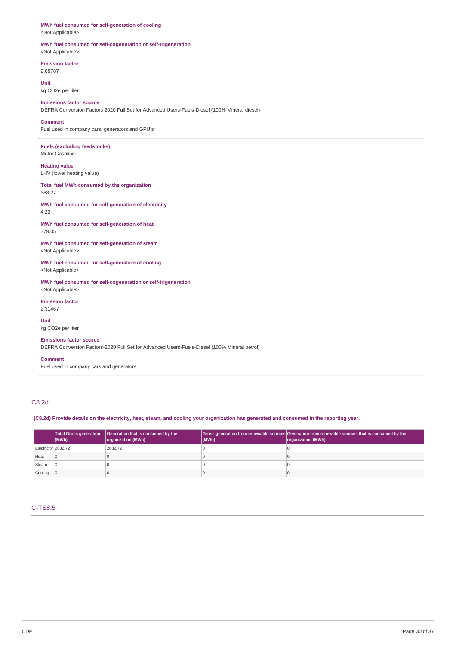## **MWh fuel consumed for self-generation of cooling**

<Not Applicable>

### **MWh fuel consumed for self-cogeneration or self-trigeneration** <Not Applicable>

**Emission factor**

2.68787

**Unit** kg CO2e per liter

**Emissions factor source** DEFRA Conversion Factors 2020 Full Set for Advanced Users-Fuels-Diesel (100% Mineral diesel)

### **Comment** Fuel used in company cars, generators and GPU's

**Fuels (excluding feedstocks)** Motor Gasoline

**Heating value** LHV (lower heating value)

**Total fuel MWh consumed by the organization** 383.27

**MWh fuel consumed for self-generation of electricity** 4.22

**MWh fuel consumed for self-generation of heat** 379.05

**MWh fuel consumed for self-generation of steam** <Not Applicable>

**MWh fuel consumed for self-generation of cooling** <Not Applicable>

**MWh fuel consumed for self-cogeneration or self-trigeneration** <Not Applicable>

**Emission factor** 2.31467

**Unit** kg CO2e per liter

## **Emissions factor source**

DEFRA Conversion Factors-2020 Full Set for Advanced Users-Fuels-Diesel (100% Mineral petrol)

**Comment**

Fuel used in company cars and generators.

## C8.2d

(C8.2d) Provide details on the electricity, heat, steam, and cooling your organization has generated and consumed in the reporting year.

|                     | <b>Total Gross generation</b><br>$ $ (MWh) | Generation that is consumed by the<br>organization (MWh) | (MWh) | Gross generation from renewable sources Generation from renewable sources that is consumed by the<br>organization (MWh) |
|---------------------|--------------------------------------------|----------------------------------------------------------|-------|-------------------------------------------------------------------------------------------------------------------------|
| Electricity 2682.72 |                                            | 2682.72                                                  |       |                                                                                                                         |
| Heat                | $\overline{0}$                             |                                                          |       |                                                                                                                         |
| Steam               |                                            |                                                          |       |                                                                                                                         |
| Cooling 0           |                                            |                                                          |       |                                                                                                                         |

## C-TS8.5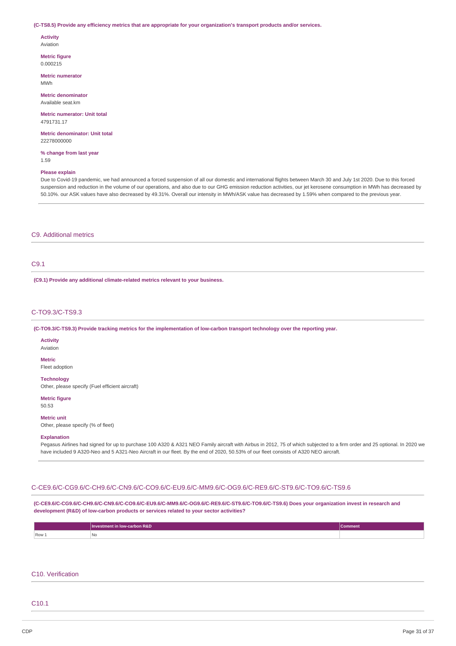### (C-TS8.5) Provide any efficiency metrics that are appropriate for your organization's transport products and/or services.

#### **Activity** Aviation

**Metric figure**

0.000215

**Metric numerator** MWh

**Metric denominator** Available seat.km

**Metric numerator: Unit total** 4791731.17

**Metric denominator: Unit total** 22278000000

**% change from last year** 1.59

### **Please explain**

Due to Covid-19 pandemic, we had announced a forced suspension of all our domestic and international flights between March 30 and July 1st 2020. Due to this forced suspension and reduction in the volume of our operations, and also due to our GHG emission reduction activities, our jet kerosene consumption in MWh has decreased by 50.10%. our ASK values have also decreased by 49.31%. Overall our intensity in MWh/ASK value has decreased by 1.59% when compared to the previous year.

## C9. Additional metrics

## C9.1

**(C9.1) Provide any additional climate-related metrics relevant to your business.**

### C-TO9.3/C-TS9.3

(C-TO9.3/C-TS9.3) Provide tracking metrics for the implementation of low-carbon transport technology over the reporting year.

## **Activity**

Aviation

## **Metric**

Fleet adoption

## **Technology**

Other, please specify (Fuel efficient aircraft)

## **Metric figure**

50.53

### **Metric unit**

Other, please specify (% of fleet)

### **Explanation**

Pegasus Airlines had signed for up to purchase 100 A320 & A321 NEO Family aircraft with Airbus in 2012, 75 of which subjected to a firm order and 25 optional. In 2020 we have included 9 A320-Neo and 5 A321-Neo Aircraft in our fleet. By the end of 2020, 50.53% of our fleet consists of A320 NEO aircraft.

## C-CE9.6/C-CG9.6/C-CH9.6/C-CN9.6/C-CO9.6/C-EU9.6/C-MM9.6/C-OG9.6/C-RE9.6/C-ST9.6/C-TO9.6/C-TS9.6

**(C-CE9.6/C-CG9.6/C-CH9.6/C-CN9.6/C-CO9.6/C-EU9.6/C-MM9.6/C-OG9.6/C-RE9.6/C-ST9.6/C-TO9.6/C-TS9.6) Does your organization invest in research and development (R&D) of low-carbon products or services related to your sector activities?**

|       | Investment in low-carbon R&D | Comment |
|-------|------------------------------|---------|
| Row 1 | No                           |         |

## C10. Verification

## C10.1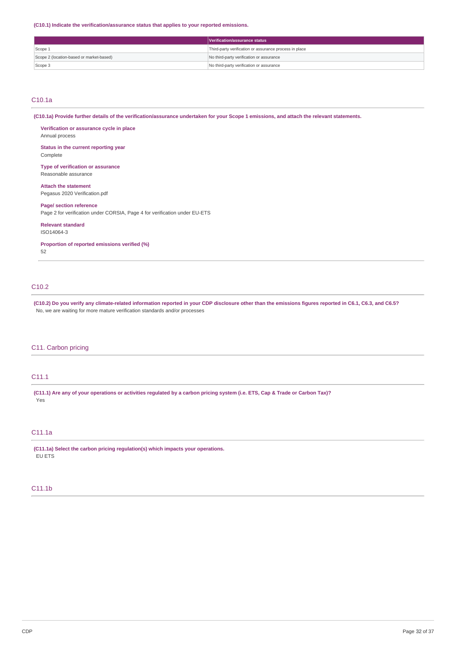**(C10.1) Indicate the verification/assurance status that applies to your reported emissions.**

|                                          | Verification/assurance status                          |  |
|------------------------------------------|--------------------------------------------------------|--|
| Scope 1                                  | Third-party verification or assurance process in place |  |
| Scope 2 (location-based or market-based) | No third-party verification or assurance               |  |
| Scope 3                                  | No third-party verification or assurance               |  |

## C10.1a

(C10.1a) Provide further details of the verification/assurance undertaken for your Scope 1 emissions, and attach the relevant statements.

**Verification or assurance cycle in place** Annual process

**Status in the current reporting year** Complete

**Type of verification or assurance** Reasonable assurance

**Attach the statement** Pegasus 2020 Verification.pdf

**Page/ section reference** Page 2 for verification under CORSIA, Page 4 for verification under EU-ETS

**Relevant standard**

ISO14064-3

**Proportion of reported emissions verified (%)**

52

## C10.2

(C10.2) Do you verify any climate-related information reported in your CDP disclosure other than the emissions figures reported in C6.1, C6.3, and C6.5? No, we are waiting for more mature verification standards and/or processes

## C11. Carbon pricing

## C11.1

(C11.1) Are any of your operations or activities regulated by a carbon pricing system (i.e. ETS, Cap & Trade or Carbon Tax)? Yes

## C11.1a

**(C11.1a) Select the carbon pricing regulation(s) which impacts your operations.** EU ETS

### C11.1b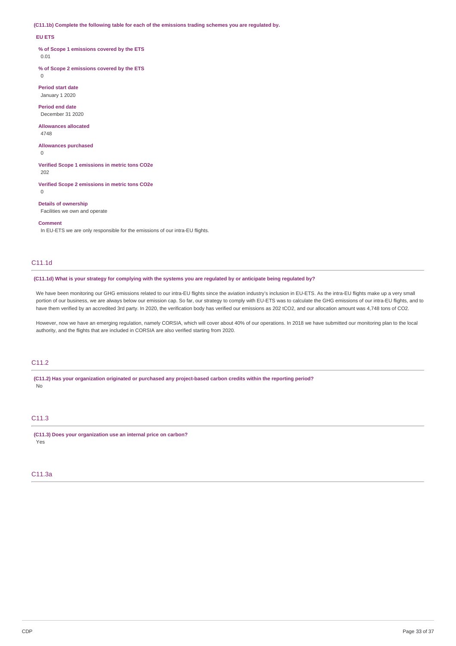**(C11.1b) Complete the following table for each of the emissions trading schemes you are regulated by.**

### **EU ETS**

**% of Scope 1 emissions covered by the ETS** 0.01

 $\Omega$ 

**% of Scope 2 emissions covered by the ETS**

**Period start date** January 1 2020

**Period end date** December 31 2020

**Allowances allocated** 4748

**Allowances purchased**

 $\Omega$ 

**Verified Scope 1 emissions in metric tons CO2e** 202

**Verified Scope 2 emissions in metric tons CO2e** 0

**Details of ownership**

Facilities we own and operate

**Comment**

In EU-ETS we are only responsible for the emissions of our intra-EU flights.

## C11.1d

(C11.1d) What is your strategy for complying with the systems you are regulated by or anticipate being regulated by?

We have been monitoring our GHG emissions related to our intra-EU flights since the aviation industry's inclusion in EU-ETS. As the intra-EU flights make up a very small portion of our business, we are always below our emission cap. So far, our strategy to comply with EU-ETS was to calculate the GHG emissions of our intra-EU flights, and to have them verified by an accredited 3rd party. In 2020, the verification body has verified our emissions as 202 tCO2, and our allocation amount was 4,748 tons of CO2.

However, now we have an emerging regulation, namely CORSIA, which will cover about 40% of our operations. In 2018 we have submitted our monitoring plan to the local authority, and the flights that are included in CORSIA are also verified starting from 2020.

## C11.2

**(C11.2) Has your organization originated or purchased any project-based carbon credits within the reporting period?** No

## C11.3

**(C11.3) Does your organization use an internal price on carbon?** Yes

## C11.3a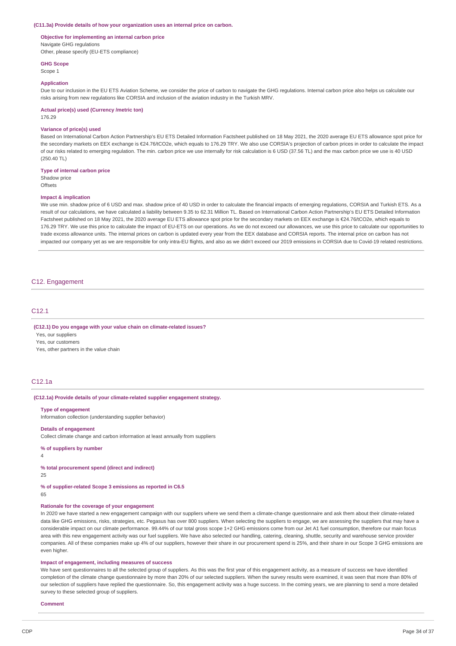#### **(C11.3a) Provide details of how your organization uses an internal price on carbon.**

## **Objective for implementing an internal carbon price**

Navigate GHG regulations Other, please specify (EU-ETS compliance)

**GHG Scope**

Scope 1

#### **Application**

Due to our inclusion in the EU ETS Aviation Scheme, we consider the price of carbon to navigate the GHG regulations. Internal carbon price also helps us calculate our risks arising from new regulations like CORSIA and inclusion of the aviation industry in the Turkish MRV.

#### **Actual price(s) used (Currency /metric ton)**

176.29

### **Variance of price(s) used**

Based on International Carbon Action Partnership's EU ETS Detailed Information Factsheet published on 18 May 2021, the 2020 average EU ETS allowance spot price for the secondary markets on EEX exchange is €24.76/tCO2e, which equals to 176.29 TRY. We also use CORSIA's projection of carbon prices in order to calculate the impact of our risks related to emerging regulation. The min. carbon price we use internally for risk calculation is 6 USD (37.56 TL) and the max carbon price we use is 40 USD (250.40 TL)

### **Type of internal carbon price**

Shadow price **Offsets** 

#### **Impact & implication**

We use min. shadow price of 6 USD and max. shadow price of 40 USD in order to calculate the financial impacts of emerging regulations, CORSIA and Turkish ETS. As a result of our calculations, we have calculated a liability between 9.35 to 62.31 Million TL. Based on International Carbon Action Partnership's EU ETS Detailed Information Factsheet published on 18 May 2021, the 2020 average EU ETS allowance spot price for the secondary markets on EEX exchange is €24.76/tCO2e, which equals to 176.29 TRY. We use this price to calculate the impact of EU-ETS on our operations. As we do not exceed our allowances, we use this price to calculate our opportunities to trade excess allowance units. The internal prices on carbon is updated every year from the EEX database and CORSIA reports. The internal price on carbon has not impacted our company yet as we are responsible for only intra-EU flights, and also as we didn't exceed our 2019 emissions in CORSIA due to Covid-19 related restrictions.

### C12. Engagement

### C<sub>12</sub>.1

#### **(C12.1) Do you engage with your value chain on climate-related issues?**

Yes, our suppliers

Yes, our customers

Yes, other partners in the value chain

### C12.1a

### **(C12.1a) Provide details of your climate-related supplier engagement strategy.**

#### **Type of engagement**

Information collection (understanding supplier behavior)

#### **Details of engagement**

Collect climate change and carbon information at least annually from suppliers

## **% of suppliers by number**

4

### **% total procurement spend (direct and indirect)**

25

### **% of supplier-related Scope 3 emissions as reported in C6.5**

65

### **Rationale for the coverage of your engagement**

In 2020 we have started a new engagement campaign with our suppliers where we send them a climate-change questionnaire and ask them about their climate-related data like GHG emissions, risks, strategies, etc. Pegasus has over 800 suppliers. When selecting the suppliers to engage, we are assessing the suppliers that may have a considerable impact on our climate performance. 99.44% of our total gross scope 1+2 GHG emissions come from our Jet A1 fuel consumption, therefore our main focus area with this new engagement activity was our fuel suppliers. We have also selected our handling, catering, cleaning, shuttle, security and warehouse service provider companies. All of these companies make up 4% of our suppliers, however their share in our procurement spend is 25%, and their share in our Scope 3 GHG emissions are even higher.

### **Impact of engagement, including measures of success**

We have sent questionnaires to all the selected group of suppliers. As this was the first year of this engagement activity, as a measure of success we have identified completion of the climate change questionnaire by more than 20% of our selected suppliers. When the survey results were examined, it was seen that more than 80% of our selection of suppliers have replied the questionnaire. So, this engagement activity was a huge success. In the coming years, we are planning to send a more detailed survey to these selected group of suppliers.

**Comment**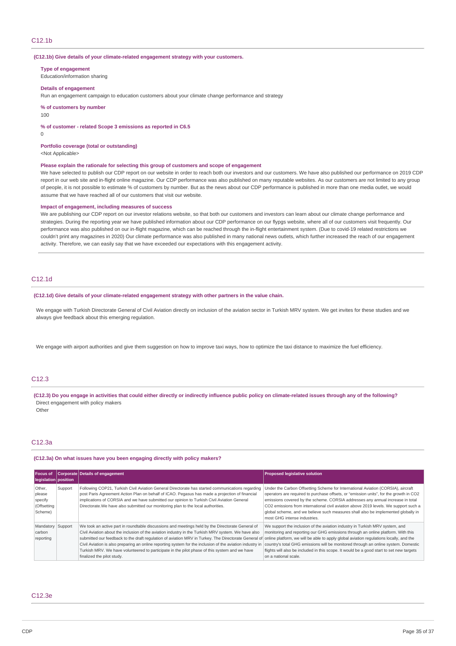### **(C12.1b) Give details of your climate-related engagement strategy with your customers.**

**Type of engagement**

Education/information sharing

### **Details of engagement**

Run an engagement campaign to education customers about your climate change performance and strategy

### **% of customers by number**

100

#### **% of customer - related Scope 3 emissions as reported in C6.5**

 $\Omega$ 

## **Portfolio coverage (total or outstanding)**

<Not Applicable>

### **Please explain the rationale for selecting this group of customers and scope of engagement**

We have selected to publish our CDP report on our website in order to reach both our investors and our customers. We have also published our performance on 2019 CDP report in our web site and in-flight online magazine. Our CDP performance was also published on many reputable websites. As our customers are not limited to any group of people, it is not possible to estimate % of customers by number. But as the news about our CDP performance is published in more than one media outlet, we would assume that we have reached all of our customers that visit our website.

### **Impact of engagement, including measures of success**

We are publishing our CDP report on our investor relations website, so that both our customers and investors can learn about our climate change performance and strategies. During the reporting year we have published information about our CDP performance on our flypgs website, where all of our customers visit frequently. Our performance was also published on our in-flight magazine, which can be reached through the in-flight entertainment system. (Due to covid-19 related restrictions we couldn't print any magazines in 2020) Our climate performance was also published in many national news outlets, which further increased the reach of our engagement activity. Therefore, we can easily say that we have exceeded our expectations with this engagement activity.

## C12.1d

**(C12.1d) Give details of your climate-related engagement strategy with other partners in the value chain.**

We engage with Turkish Directorate General of Civil Aviation directly on inclusion of the aviation sector in Turkish MRV system. We get invites for these studies and we always give feedback about this emerging regulation.

We engage with airport authorities and give them suggestion on how to improve taxi ways, how to optimize the taxi distance to maximize the fuel efficiency.

## C12.3

(C12.3) Do you engage in activities that could either directly or indirectly influence public policy on climate-related issues through any of the following? Direct engagement with policy makers

Other

## C12.3a

### **(C12.3a) On what issues have you been engaging directly with policy makers?**

| Focus of<br>legislation   position                    |         | Corporate Details of engagement                                                                                                                                                                                                                                                                                                                                                                                                                                                                                                                             | <b>Proposed legislative solution</b>                                                                                                                                                                                                                                                                                                                                                                                                                                      |
|-------------------------------------------------------|---------|-------------------------------------------------------------------------------------------------------------------------------------------------------------------------------------------------------------------------------------------------------------------------------------------------------------------------------------------------------------------------------------------------------------------------------------------------------------------------------------------------------------------------------------------------------------|---------------------------------------------------------------------------------------------------------------------------------------------------------------------------------------------------------------------------------------------------------------------------------------------------------------------------------------------------------------------------------------------------------------------------------------------------------------------------|
| Other,<br>please<br>specify<br>(Offsetting<br>Scheme) | Support | Following COP21, Turkish Civil Aviation General Directorate has started communications regarding<br>post Paris Agreement Action Plan on behalf of ICAO. Pegasus has made a projection of financial<br>implications of CORSIA and we have submitted our opinion to Turkish Civil Aviation General<br>Directorate. We have also submitted our monitoring plan to the local authorities.                                                                                                                                                                       | Under the Carbon Offsetting Scheme for International Aviation (CORSIA), aircraft<br>operators are required to purchase offsets, or "emission units", for the growth in CO2<br>emissions covered by the scheme. CORSIA addresses any annual increase in total<br>CO2 emissions from international civil aviation above 2019 levels. We support such a<br>global scheme, and we believe such measures shall also be implemented globally in<br>most GHG intense industries. |
| Mandatory<br>carbon<br>reporting                      | Support | We took an active part in roundtable discussions and meetings held by the Directorate General of<br>Civil Aviation about the inclusion of the aviation industry in the Turkish MRV system. We have also<br>submitted our feedback to the draft regulation of aviation MRV in Turkey. The Directorate General of<br>Civil Aviation is also preparing an online reporting system for the inclusion of the aviation industry in<br>Turkish MRV. We have volunteered to participate in the pilot phase of this system and we have<br>finalized the pilot study. | We support the inclusion of the aviation industry in Turkish MRV system, and<br>monitoring and reporting our GHG emissions through an online platform. With this<br>online platform, we will be able to apply global aviation regulations locally, and the<br>country's total GHG emissions will be monitored through an online system. Domestic<br>flights will also be included in this scope. It would be a good start to set new targets<br>on a national scale.      |

### $C12.3e$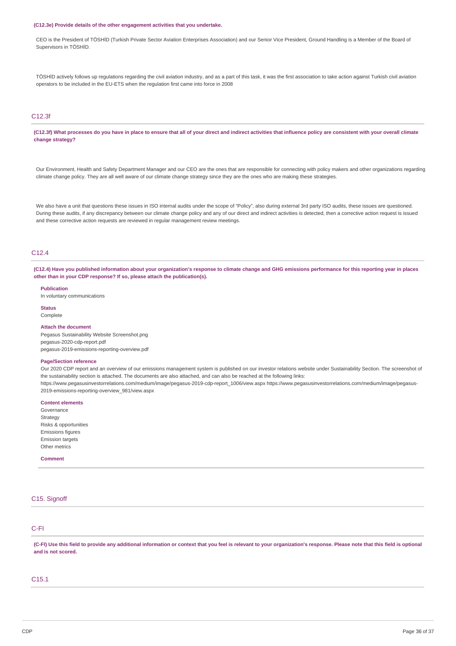#### **(C12.3e) Provide details of the other engagement activities that you undertake.**

CEO is the President of TÖSHİD (Turkish Private Sector Aviation Enterprises Association) and our Senior Vice President, Ground Handling is a Member of the Board of Supervisors in TÖSHİD.

TÖSHİD actively follows up regulations regarding the civil aviation industry, and as a part of this task, it was the first association to take action against Turkish civil aviation operators to be included in the EU-ETS when the regulation first came into force in 2008

## C12.3f

(C12.3f) What processes do you have in place to ensure that all of your direct and indirect activities that influence policy are consistent with your overall climate **change strategy?**

Our Environment, Health and Safety Department Manager and our CEO are the ones that are responsible for connecting with policy makers and other organizations regarding climate change policy. They are all well aware of our climate change strategy since they are the ones who are making these strategies.

We also have a unit that questions these issues in ISO internal audits under the scope of "Policy", also during external 3rd party ISO audits, these issues are questioned. During these audits, if any discrepancy between our climate change policy and any of our direct and indirect activities is detected, then a corrective action request is issued and these corrective action requests are reviewed in regular management review meetings.

## C12.4

(C12.4) Have you published information about your organization's response to climate change and GHG emissions performance for this reporting year in places **other than in your CDP response? If so, please attach the publication(s).**

**Publication**

In voluntary communications

**Status** Complete

#### **Attach the document**

Pegasus Sustainability Website Screenshot.png pegasus-2020-cdp-report.pdf pegasus-2019-emissions-reporting-overview.pdf

### **Page/Section reference**

Our 2020 CDP report and an overview of our emissions management system is published on our investor relations website under Sustainability Section. The screenshot of the sustainability section is attached. The documents are also attached, and can also be reached at the following links:

https://www.pegasusinvestorrelations.com/medium/image/pegasus-2019-cdp-report\_1006/view.aspx https://www.pegasusinvestorrelations.com/medium/image/pegasus-2019-emissions-reporting-overview\_981/view.aspx

## **Content elements**

Governance Strategy Risks & opportunities Emissions figures Emission targets Other metrics

### **Comment**

## C15. Signoff

## C-FI

(C-FI) Use this field to provide any additional information or context that you feel is relevant to your organization's response. Please note that this field is optional **and is not scored.**

## C15.1